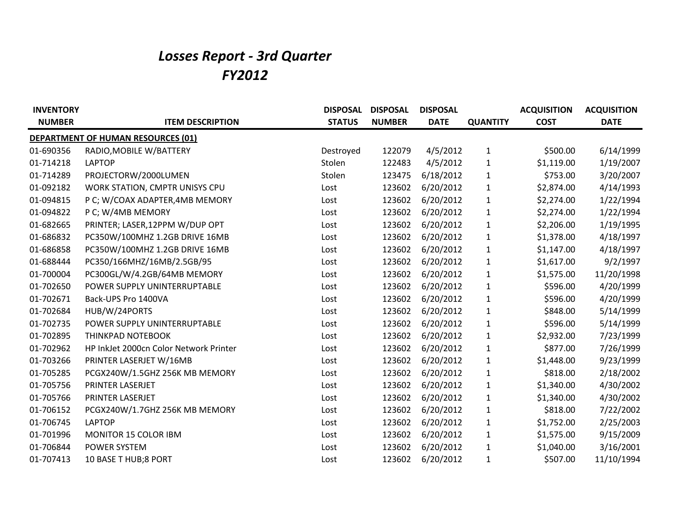## *Losses Report - 3rd Quarter FY2012*

| <b>INVENTORY</b> |                                           | <b>DISPOSAL</b> | <b>DISPOSAL</b> | <b>DISPOSAL</b> |                 | <b>ACQUISITION</b> | <b>ACQUISITION</b> |
|------------------|-------------------------------------------|-----------------|-----------------|-----------------|-----------------|--------------------|--------------------|
| <b>NUMBER</b>    | <b>ITEM DESCRIPTION</b>                   | <b>STATUS</b>   | <b>NUMBER</b>   | <b>DATE</b>     | <b>QUANTITY</b> | <b>COST</b>        | <b>DATE</b>        |
|                  | <b>DEPARTMENT OF HUMAN RESOURCES (01)</b> |                 |                 |                 |                 |                    |                    |
| 01-690356        | RADIO, MOBILE W/BATTERY                   | Destroyed       | 122079          | 4/5/2012        | 1               | \$500.00           | 6/14/1999          |
| 01-714218        | <b>LAPTOP</b>                             | Stolen          | 122483          | 4/5/2012        | $\mathbf{1}$    | \$1,119.00         | 1/19/2007          |
| 01-714289        | PROJECTORW/2000LUMEN                      | Stolen          | 123475          | 6/18/2012       | $\mathbf{1}$    | \$753.00           | 3/20/2007          |
| 01-092182        | WORK STATION, CMPTR UNISYS CPU            | Lost            | 123602          | 6/20/2012       | 1               | \$2,874.00         | 4/14/1993          |
| 01-094815        | P C; W/COAX ADAPTER, 4MB MEMORY           | Lost            | 123602          | 6/20/2012       | $\mathbf{1}$    | \$2,274.00         | 1/22/1994          |
| 01-094822        | P C; W/4MB MEMORY                         | Lost            | 123602          | 6/20/2012       | 1               | \$2,274.00         | 1/22/1994          |
| 01-682665        | PRINTER; LASER, 12PPM W/DUP OPT           | Lost            | 123602          | 6/20/2012       | $\mathbf{1}$    | \$2,206.00         | 1/19/1995          |
| 01-686832        | PC350W/100MHZ 1.2GB DRIVE 16MB            | Lost            | 123602          | 6/20/2012       | 1               | \$1,378.00         | 4/18/1997          |
| 01-686858        | PC350W/100MHZ 1.2GB DRIVE 16MB            | Lost            | 123602          | 6/20/2012       | 1               | \$1,147.00         | 4/18/1997          |
| 01-688444        | PC350/166MHZ/16MB/2.5GB/95                | Lost            | 123602          | 6/20/2012       | $\mathbf{1}$    | \$1,617.00         | 9/2/1997           |
| 01-700004        | PC300GL/W/4.2GB/64MB MEMORY               | Lost            | 123602          | 6/20/2012       | 1               | \$1,575.00         | 11/20/1998         |
| 01-702650        | POWER SUPPLY UNINTERRUPTABLE              | Lost            | 123602          | 6/20/2012       | 1               | \$596.00           | 4/20/1999          |
| 01-702671        | Back-UPS Pro 1400VA                       | Lost            | 123602          | 6/20/2012       | 1               | \$596.00           | 4/20/1999          |
| 01-702684        | HUB/W/24PORTS                             | Lost            | 123602          | 6/20/2012       | 1               | \$848.00           | 5/14/1999          |
| 01-702735        | POWER SUPPLY UNINTERRUPTABLE              | Lost            | 123602          | 6/20/2012       | 1               | \$596.00           | 5/14/1999          |
| 01-702895        | THINKPAD NOTEBOOK                         | Lost            | 123602          | 6/20/2012       | 1               | \$2,932.00         | 7/23/1999          |
| 01-702962        | HP InkJet 2000cn Color Network Printer    | Lost            | 123602          | 6/20/2012       | 1               | \$877.00           | 7/26/1999          |
| 01-703266        | PRINTER LASERJET W/16MB                   | Lost            | 123602          | 6/20/2012       | 1               | \$1,448.00         | 9/23/1999          |
| 01-705285        | PCGX240W/1.5GHZ 256K MB MEMORY            | Lost            | 123602          | 6/20/2012       | $\mathbf{1}$    | \$818.00           | 2/18/2002          |
| 01-705756        | PRINTER LASERJET                          | Lost            | 123602          | 6/20/2012       | 1               | \$1,340.00         | 4/30/2002          |
| 01-705766        | PRINTER LASERJET                          | Lost            | 123602          | 6/20/2012       | 1               | \$1,340.00         | 4/30/2002          |
| 01-706152        | PCGX240W/1.7GHZ 256K MB MEMORY            | Lost            | 123602          | 6/20/2012       | 1               | \$818.00           | 7/22/2002          |
| 01-706745        | <b>LAPTOP</b>                             | Lost            | 123602          | 6/20/2012       | 1               | \$1,752.00         | 2/25/2003          |
| 01-701996        | MONITOR 15 COLOR IBM                      | Lost            | 123602          | 6/20/2012       | 1               | \$1,575.00         | 9/15/2009          |
| 01-706844        | POWER SYSTEM                              | Lost            | 123602          | 6/20/2012       | 1               | \$1,040.00         | 3/16/2001          |
| 01-707413        | 10 BASE T HUB;8 PORT                      | Lost            | 123602          | 6/20/2012       | 1               | \$507.00           | 11/10/1994         |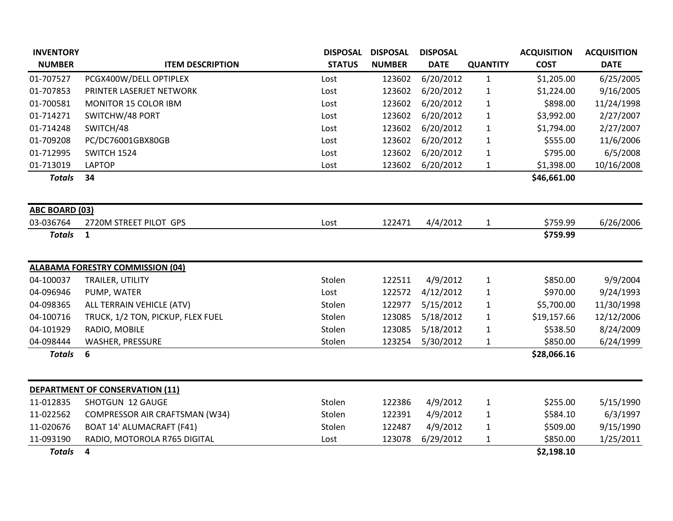| <b>INVENTORY</b>      |                                         | <b>DISPOSAL</b> | <b>DISPOSAL</b> | <b>DISPOSAL</b> |                 | <b>ACQUISITION</b> | <b>ACQUISITION</b> |
|-----------------------|-----------------------------------------|-----------------|-----------------|-----------------|-----------------|--------------------|--------------------|
| <b>NUMBER</b>         | <b>ITEM DESCRIPTION</b>                 | <b>STATUS</b>   | <b>NUMBER</b>   | <b>DATE</b>     | <b>QUANTITY</b> | <b>COST</b>        | <b>DATE</b>        |
| 01-707527             | PCGX400W/DELL OPTIPLEX                  | Lost            | 123602          | 6/20/2012       | $\mathbf{1}$    | \$1,205.00         | 6/25/2005          |
| 01-707853             | PRINTER LASERJET NETWORK                | Lost            | 123602          | 6/20/2012       | $\mathbf{1}$    | \$1,224.00         | 9/16/2005          |
| 01-700581             | MONITOR 15 COLOR IBM                    | Lost            | 123602          | 6/20/2012       | $\mathbf{1}$    | \$898.00           | 11/24/1998         |
| 01-714271             | SWITCHW/48 PORT                         | Lost            | 123602          | 6/20/2012       | $\mathbf{1}$    | \$3,992.00         | 2/27/2007          |
| 01-714248             | SWITCH/48                               | Lost            | 123602          | 6/20/2012       | $\mathbf{1}$    | \$1,794.00         | 2/27/2007          |
| 01-709208             | PC/DC76001GBX80GB                       | Lost            | 123602          | 6/20/2012       | $\mathbf{1}$    | \$555.00           | 11/6/2006          |
| 01-712995             | SWITCH 1524                             | Lost            | 123602          | 6/20/2012       | $\mathbf{1}$    | \$795.00           | 6/5/2008           |
| 01-713019             | <b>LAPTOP</b>                           | Lost            | 123602          | 6/20/2012       | $\mathbf{1}$    | \$1,398.00         | 10/16/2008         |
| <b>Totals</b>         | 34                                      |                 |                 |                 |                 | \$46,661.00        |                    |
| <b>ABC BOARD (03)</b> |                                         |                 |                 |                 |                 |                    |                    |
| 03-036764             | 2720M STREET PILOT GPS                  | Lost            | 122471          | 4/4/2012        | $\mathbf{1}$    | \$759.99           | 6/26/2006          |
| <b>Totals</b>         | 1                                       |                 |                 |                 |                 | \$759.99           |                    |
|                       | <b>ALABAMA FORESTRY COMMISSION (04)</b> |                 |                 |                 |                 |                    |                    |
| 04-100037             | TRAILER, UTILITY                        | Stolen          | 122511          | 4/9/2012        | $\mathbf{1}$    | \$850.00           | 9/9/2004           |
| 04-096946             | PUMP, WATER                             | Lost            | 122572          | 4/12/2012       | $\mathbf{1}$    | \$970.00           | 9/24/1993          |
| 04-098365             | ALL TERRAIN VEHICLE (ATV)               | Stolen          | 122977          | 5/15/2012       | $\mathbf{1}$    | \$5,700.00         | 11/30/1998         |
| 04-100716             | TRUCK, 1/2 TON, PICKUP, FLEX FUEL       | Stolen          | 123085          | 5/18/2012       | $\mathbf{1}$    | \$19,157.66        | 12/12/2006         |
| 04-101929             | RADIO, MOBILE                           | Stolen          | 123085          | 5/18/2012       | $\mathbf{1}$    | \$538.50           | 8/24/2009          |
| 04-098444             | <b>WASHER, PRESSURE</b>                 | Stolen          | 123254          | 5/30/2012       | $\mathbf{1}$    | \$850.00           | 6/24/1999          |
| <b>Totals</b>         | 6                                       |                 |                 |                 |                 | \$28,066.16        |                    |
|                       | <b>DEPARTMENT OF CONSERVATION (11)</b>  |                 |                 |                 |                 |                    |                    |
| 11-012835             | SHOTGUN 12 GAUGE                        | Stolen          | 122386          | 4/9/2012        | $\mathbf{1}$    | \$255.00           | 5/15/1990          |
| 11-022562             | COMPRESSOR AIR CRAFTSMAN (W34)          | Stolen          | 122391          | 4/9/2012        | $\mathbf{1}$    | \$584.10           | 6/3/1997           |
| 11-020676             | <b>BOAT 14' ALUMACRAFT (F41)</b>        | Stolen          | 122487          | 4/9/2012        | $\mathbf{1}$    | \$509.00           | 9/15/1990          |
| 11-093190             | RADIO, MOTOROLA R765 DIGITAL            | Lost            | 123078          | 6/29/2012       | $\mathbf{1}$    | \$850.00           | 1/25/2011          |
| <b>Totals</b>         | $\overline{\mathbf{4}}$                 |                 |                 |                 |                 | \$2,198.10         |                    |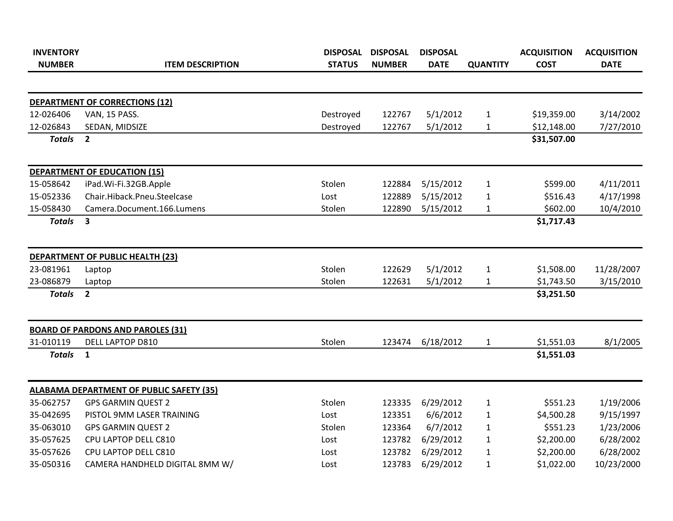| <b>INVENTORY</b> |                                                 | <b>DISPOSAL</b> | <b>DISPOSAL</b> | <b>DISPOSAL</b> |                 | <b>ACQUISITION</b> | <b>ACQUISITION</b> |
|------------------|-------------------------------------------------|-----------------|-----------------|-----------------|-----------------|--------------------|--------------------|
| <b>NUMBER</b>    | <b>ITEM DESCRIPTION</b>                         | <b>STATUS</b>   | <b>NUMBER</b>   | <b>DATE</b>     | <b>QUANTITY</b> | <b>COST</b>        | <b>DATE</b>        |
|                  | DEPARTMENT OF CORRECTIONS (12)                  |                 |                 |                 |                 |                    |                    |
| 12-026406        | VAN, 15 PASS.                                   | Destroyed       | 122767          | 5/1/2012        | $\mathbf{1}$    | \$19,359.00        | 3/14/2002          |
| 12-026843        | SEDAN, MIDSIZE                                  | Destroyed       | 122767          | 5/1/2012        | $\mathbf{1}$    | \$12,148.00        | 7/27/2010          |
| <b>Totals</b>    | $\overline{2}$                                  |                 |                 |                 |                 | \$31,507.00        |                    |
|                  | <b>DEPARTMENT OF EDUCATION (15)</b>             |                 |                 |                 |                 |                    |                    |
| 15-058642        | iPad.Wi-Fi.32GB.Apple                           | Stolen          | 122884          | 5/15/2012       | $\mathbf{1}$    | \$599.00           | 4/11/2011          |
| 15-052336        | Chair.Hiback.Pneu.Steelcase                     | Lost            | 122889          | 5/15/2012       | $\mathbf{1}$    | \$516.43           | 4/17/1998          |
| 15-058430        | Camera.Document.166.Lumens                      | Stolen          | 122890          | 5/15/2012       | $\mathbf{1}$    | \$602.00           | 10/4/2010          |
| <b>Totals</b>    | $\overline{\mathbf{3}}$                         |                 |                 |                 |                 | \$1,717.43         |                    |
|                  | <b>DEPARTMENT OF PUBLIC HEALTH (23)</b>         |                 |                 |                 |                 |                    |                    |
| 23-081961        | Laptop                                          | Stolen          | 122629          | 5/1/2012        | $\mathbf{1}$    | \$1,508.00         | 11/28/2007         |
| 23-086879        | Laptop                                          | Stolen          | 122631          | 5/1/2012        | $\mathbf{1}$    | \$1,743.50         | 3/15/2010          |
| <b>Totals</b>    | $\overline{2}$                                  |                 |                 |                 |                 | \$3,251.50         |                    |
|                  | <b>BOARD OF PARDONS AND PAROLES (31)</b>        |                 |                 |                 |                 |                    |                    |
| 31-010119        | <b>DELL LAPTOP D810</b>                         | Stolen          | 123474          | 6/18/2012       | $\mathbf{1}$    | \$1,551.03         | 8/1/2005           |
| <b>Totals</b>    | $\mathbf{1}$                                    |                 |                 |                 |                 | \$1,551.03         |                    |
|                  | <b>ALABAMA DEPARTMENT OF PUBLIC SAFETY (35)</b> |                 |                 |                 |                 |                    |                    |
| 35-062757        | <b>GPS GARMIN QUEST 2</b>                       | Stolen          | 123335          | 6/29/2012       | $\mathbf{1}$    | \$551.23           | 1/19/2006          |
| 35-042695        | PISTOL 9MM LASER TRAINING                       | Lost            | 123351          | 6/6/2012        | $\mathbf{1}$    | \$4,500.28         | 9/15/1997          |
| 35-063010        | <b>GPS GARMIN QUEST 2</b>                       | Stolen          | 123364          | 6/7/2012        | $\mathbf{1}$    | \$551.23           | 1/23/2006          |
| 35-057625        | CPU LAPTOP DELL C810                            | Lost            | 123782          | 6/29/2012       | $\mathbf{1}$    | \$2,200.00         | 6/28/2002          |
| 35-057626        | CPU LAPTOP DELL C810                            | Lost            | 123782          | 6/29/2012       | $\mathbf{1}$    | \$2,200.00         | 6/28/2002          |
| 35-050316        | CAMERA HANDHELD DIGITAL 8MM W/                  | Lost            | 123783          | 6/29/2012       | $\mathbf{1}$    | \$1,022.00         | 10/23/2000         |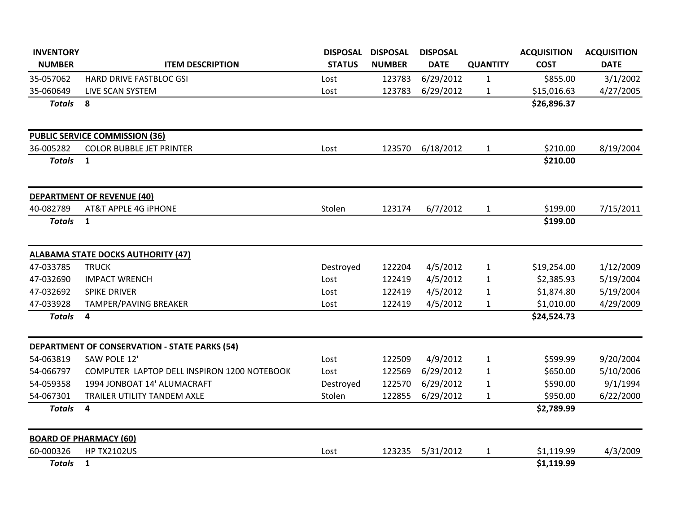| <b>INVENTORY</b> |                                                      | <b>DISPOSAL</b> | <b>DISPOSAL</b> | <b>DISPOSAL</b> |                 | <b>ACQUISITION</b> | <b>ACQUISITION</b> |
|------------------|------------------------------------------------------|-----------------|-----------------|-----------------|-----------------|--------------------|--------------------|
| <b>NUMBER</b>    | <b>ITEM DESCRIPTION</b>                              | <b>STATUS</b>   | <b>NUMBER</b>   | <b>DATE</b>     | <b>QUANTITY</b> | <b>COST</b>        | <b>DATE</b>        |
| 35-057062        | HARD DRIVE FASTBLOC GSI                              | Lost            | 123783          | 6/29/2012       | $\mathbf{1}$    | \$855.00           | 3/1/2002           |
| 35-060649        | LIVE SCAN SYSTEM                                     | Lost            | 123783          | 6/29/2012       | $\mathbf{1}$    | \$15,016.63        | 4/27/2005          |
| <b>Totals</b>    | 8                                                    |                 |                 |                 |                 | \$26,896.37        |                    |
|                  | <b>PUBLIC SERVICE COMMISSION (36)</b>                |                 |                 |                 |                 |                    |                    |
| 36-005282        | <b>COLOR BUBBLE JET PRINTER</b>                      | Lost            | 123570          | 6/18/2012       | $\mathbf{1}$    | \$210.00           | 8/19/2004          |
| <b>Totals</b>    | $\mathbf{1}$                                         |                 |                 |                 |                 | \$210.00           |                    |
|                  | <b>DEPARTMENT OF REVENUE (40)</b>                    |                 |                 |                 |                 |                    |                    |
| 40-082789        | AT&T APPLE 4G IPHONE                                 | Stolen          | 123174          | 6/7/2012        | $\mathbf{1}$    | \$199.00           | 7/15/2011          |
| <b>Totals</b>    | $\mathbf{1}$                                         |                 |                 |                 |                 | \$199.00           |                    |
|                  | <b>ALABAMA STATE DOCKS AUTHORITY (47)</b>            |                 |                 |                 |                 |                    |                    |
| 47-033785        | <b>TRUCK</b>                                         | Destroyed       | 122204          | 4/5/2012        | $\mathbf{1}$    | \$19,254.00        | 1/12/2009          |
| 47-032690        | <b>IMPACT WRENCH</b>                                 | Lost            | 122419          | 4/5/2012        | $\mathbf{1}$    | \$2,385.93         | 5/19/2004          |
| 47-032692        | <b>SPIKE DRIVER</b>                                  | Lost            | 122419          | 4/5/2012        | $\mathbf{1}$    | \$1,874.80         | 5/19/2004          |
| 47-033928        | TAMPER/PAVING BREAKER                                | Lost            | 122419          | 4/5/2012        | $\mathbf{1}$    | \$1,010.00         | 4/29/2009          |
| <b>Totals</b>    | $\overline{\mathbf{4}}$                              |                 |                 |                 |                 | \$24,524.73        |                    |
|                  | <b>DEPARTMENT OF CONSERVATION - STATE PARKS (54)</b> |                 |                 |                 |                 |                    |                    |
| 54-063819        | SAW POLE 12'                                         | Lost            | 122509          | 4/9/2012        | $\mathbf{1}$    | \$599.99           | 9/20/2004          |
| 54-066797        | COMPUTER LAPTOP DELL INSPIRON 1200 NOTEBOOK          | Lost            | 122569          | 6/29/2012       | $\mathbf{1}$    | \$650.00           | 5/10/2006          |
| 54-059358        | 1994 JONBOAT 14' ALUMACRAFT                          | Destroyed       | 122570          | 6/29/2012       | $\mathbf{1}$    | \$590.00           | 9/1/1994           |
| 54-067301        | TRAILER UTILITY TANDEM AXLE                          | Stolen          | 122855          | 6/29/2012       | $\mathbf{1}$    | \$950.00           | 6/22/2000          |
| <b>Totals</b>    | $\overline{\mathbf{4}}$                              |                 |                 |                 |                 | \$2,789.99         |                    |
|                  | <b>BOARD OF PHARMACY (60)</b>                        |                 |                 |                 |                 |                    |                    |
| 60-000326        | <b>HP TX2102US</b>                                   | Lost            | 123235          | 5/31/2012       | $\mathbf{1}$    | \$1,119.99         | 4/3/2009           |
| <b>Totals</b>    | $\mathbf{1}$                                         |                 |                 |                 |                 | \$1,119.99         |                    |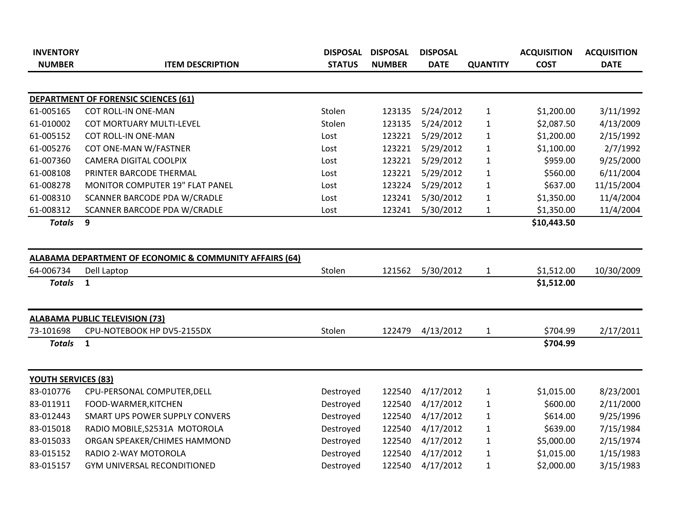| <b>INVENTORY</b>           |                                                                    | <b>DISPOSAL</b> | <b>DISPOSAL</b> | <b>DISPOSAL</b> |                 | <b>ACQUISITION</b> | <b>ACQUISITION</b> |
|----------------------------|--------------------------------------------------------------------|-----------------|-----------------|-----------------|-----------------|--------------------|--------------------|
| <b>NUMBER</b>              | <b>ITEM DESCRIPTION</b>                                            | <b>STATUS</b>   | <b>NUMBER</b>   | <b>DATE</b>     | <b>QUANTITY</b> | <b>COST</b>        | <b>DATE</b>        |
|                            |                                                                    |                 |                 |                 |                 |                    |                    |
|                            | <b>DEPARTMENT OF FORENSIC SCIENCES (61)</b>                        |                 |                 |                 |                 |                    |                    |
| 61-005165                  | <b>COT ROLL-IN ONE-MAN</b>                                         | Stolen          | 123135          | 5/24/2012       | $\mathbf{1}$    | \$1,200.00         | 3/11/1992          |
| 61-010002                  | <b>COT MORTUARY MULTI-LEVEL</b>                                    | Stolen          | 123135          | 5/24/2012       | $\mathbf{1}$    | \$2,087.50         | 4/13/2009          |
| 61-005152                  | <b>COT ROLL-IN ONE-MAN</b>                                         | Lost            | 123221          | 5/29/2012       | $\mathbf{1}$    | \$1,200.00         | 2/15/1992          |
| 61-005276                  | COT ONE-MAN W/FASTNER                                              | Lost            | 123221          | 5/29/2012       | $\mathbf{1}$    | \$1,100.00         | 2/7/1992           |
| 61-007360                  | <b>CAMERA DIGITAL COOLPIX</b>                                      | Lost            | 123221          | 5/29/2012       | $\mathbf{1}$    | \$959.00           | 9/25/2000          |
| 61-008108                  | PRINTER BARCODE THERMAL                                            | Lost            | 123221          | 5/29/2012       | $\mathbf{1}$    | \$560.00           | 6/11/2004          |
| 61-008278                  | <b>MONITOR COMPUTER 19" FLAT PANEL</b>                             | Lost            | 123224          | 5/29/2012       | $\mathbf{1}$    | \$637.00           | 11/15/2004         |
| 61-008310                  | SCANNER BARCODE PDA W/CRADLE                                       | Lost            | 123241          | 5/30/2012       | $\mathbf{1}$    | \$1,350.00         | 11/4/2004          |
| 61-008312                  | SCANNER BARCODE PDA W/CRADLE                                       | Lost            | 123241          | 5/30/2012       | $\mathbf{1}$    | \$1,350.00         | 11/4/2004          |
| <b>Totals</b>              | 9                                                                  |                 |                 |                 |                 | \$10,443.50        |                    |
|                            |                                                                    |                 |                 |                 |                 |                    |                    |
|                            | <b>ALABAMA DEPARTMENT OF ECONOMIC &amp; COMMUNITY AFFAIRS (64)</b> |                 |                 |                 |                 |                    |                    |
| 64-006734                  | Dell Laptop                                                        | Stolen          | 121562          | 5/30/2012       | $\mathbf{1}$    | \$1,512.00         | 10/30/2009         |
| <b>Totals</b>              | $\mathbf{1}$                                                       |                 |                 |                 |                 | \$1,512.00         |                    |
|                            | <b>ALABAMA PUBLIC TELEVISION (73)</b>                              |                 |                 |                 |                 |                    |                    |
| 73-101698                  | CPU-NOTEBOOK HP DV5-2155DX                                         | Stolen          | 122479          | 4/13/2012       | $\mathbf{1}$    | \$704.99           | 2/17/2011          |
| <b>Totals</b>              | $\mathbf{1}$                                                       |                 |                 |                 |                 | \$704.99           |                    |
|                            |                                                                    |                 |                 |                 |                 |                    |                    |
| <b>YOUTH SERVICES (83)</b> |                                                                    |                 |                 |                 |                 |                    |                    |
| 83-010776                  | CPU-PERSONAL COMPUTER, DELL                                        | Destroyed       | 122540          | 4/17/2012       | $\mathbf{1}$    | \$1,015.00         | 8/23/2001          |
| 83-011911                  | FOOD-WARMER, KITCHEN                                               | Destroyed       | 122540          | 4/17/2012       | $\mathbf{1}$    | \$600.00           | 2/11/2000          |
| 83-012443                  | SMART UPS POWER SUPPLY CONVERS                                     | Destroyed       | 122540          | 4/17/2012       | $\mathbf{1}$    | \$614.00           | 9/25/1996          |
| 83-015018                  | RADIO MOBILE, S2531A MOTOROLA                                      | Destroyed       | 122540          | 4/17/2012       | $\mathbf{1}$    | \$639.00           | 7/15/1984          |
| 83-015033                  | ORGAN SPEAKER/CHIMES HAMMOND                                       | Destroyed       | 122540          | 4/17/2012       | $\mathbf{1}$    | \$5,000.00         | 2/15/1974          |
| 83-015152                  | RADIO 2-WAY MOTOROLA                                               | Destroyed       | 122540          | 4/17/2012       | $\mathbf{1}$    | \$1,015.00         | 1/15/1983          |
| 83-015157                  | GYM UNIVERSAL RECONDITIONED                                        | Destroyed       | 122540          | 4/17/2012       | $\mathbf{1}$    | \$2,000.00         | 3/15/1983          |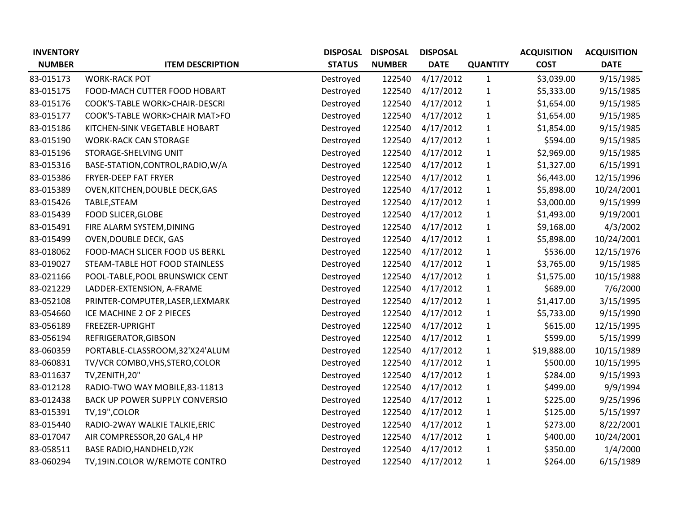| <b>INVENTORY</b> |                                   | <b>DISPOSAL</b> | <b>DISPOSAL</b> | <b>DISPOSAL</b> |                 | <b>ACQUISITION</b> | <b>ACQUISITION</b> |
|------------------|-----------------------------------|-----------------|-----------------|-----------------|-----------------|--------------------|--------------------|
| <b>NUMBER</b>    | <b>ITEM DESCRIPTION</b>           | <b>STATUS</b>   | <b>NUMBER</b>   | <b>DATE</b>     | <b>QUANTITY</b> | <b>COST</b>        | <b>DATE</b>        |
| 83-015173        | <b>WORK-RACK POT</b>              | Destroyed       | 122540          | 4/17/2012       | $\mathbf{1}$    | \$3,039.00         | 9/15/1985          |
| 83-015175        | FOOD-MACH CUTTER FOOD HOBART      | Destroyed       | 122540          | 4/17/2012       | $\mathbf{1}$    | \$5,333.00         | 9/15/1985          |
| 83-015176        | COOK'S-TABLE WORK>CHAIR-DESCRI    | Destroyed       | 122540          | 4/17/2012       | $\mathbf{1}$    | \$1,654.00         | 9/15/1985          |
| 83-015177        | COOK'S-TABLE WORK>CHAIR MAT>FO    | Destroyed       | 122540          | 4/17/2012       | $\mathbf{1}$    | \$1,654.00         | 9/15/1985          |
| 83-015186        | KITCHEN-SINK VEGETABLE HOBART     | Destroyed       | 122540          | 4/17/2012       | $\mathbf{1}$    | \$1,854.00         | 9/15/1985          |
| 83-015190        | <b>WORK-RACK CAN STORAGE</b>      | Destroyed       | 122540          | 4/17/2012       | 1               | \$594.00           | 9/15/1985          |
| 83-015196        | STORAGE-SHELVING UNIT             | Destroyed       | 122540          | 4/17/2012       | $\mathbf{1}$    | \$2,969.00         | 9/15/1985          |
| 83-015316        | BASE-STATION, CONTROL, RADIO, W/A | Destroyed       | 122540          | 4/17/2012       | $\mathbf 1$     | \$1,327.00         | 6/15/1991          |
| 83-015386        | FRYER-DEEP FAT FRYER              | Destroyed       | 122540          | 4/17/2012       | $\mathbf{1}$    | \$6,443.00         | 12/15/1996         |
| 83-015389        | OVEN, KITCHEN, DOUBLE DECK, GAS   | Destroyed       | 122540          | 4/17/2012       | $\mathbf{1}$    | \$5,898.00         | 10/24/2001         |
| 83-015426        | TABLE, STEAM                      | Destroyed       | 122540          | 4/17/2012       | 1               | \$3,000.00         | 9/15/1999          |
| 83-015439        | <b>FOOD SLICER, GLOBE</b>         | Destroyed       | 122540          | 4/17/2012       | $\mathbf{1}$    | \$1,493.00         | 9/19/2001          |
| 83-015491        | FIRE ALARM SYSTEM, DINING         | Destroyed       | 122540          | 4/17/2012       | $\mathbf{1}$    | \$9,168.00         | 4/3/2002           |
| 83-015499        | <b>OVEN, DOUBLE DECK, GAS</b>     | Destroyed       | 122540          | 4/17/2012       | $\mathbf{1}$    | \$5,898.00         | 10/24/2001         |
| 83-018062        | FOOD-MACH SLICER FOOD US BERKL    | Destroyed       | 122540          | 4/17/2012       | $\mathbf{1}$    | \$536.00           | 12/15/1976         |
| 83-019027        | STEAM-TABLE HOT FOOD STAINLESS    | Destroyed       | 122540          | 4/17/2012       | $\mathbf{1}$    | \$3,765.00         | 9/15/1985          |
| 83-021166        | POOL-TABLE, POOL BRUNSWICK CENT   | Destroyed       | 122540          | 4/17/2012       | $\mathbf{1}$    | \$1,575.00         | 10/15/1988         |
| 83-021229        | LADDER-EXTENSION, A-FRAME         | Destroyed       | 122540          | 4/17/2012       | $\mathbf{1}$    | \$689.00           | 7/6/2000           |
| 83-052108        | PRINTER-COMPUTER, LASER, LEXMARK  | Destroyed       | 122540          | 4/17/2012       | $\mathbf{1}$    | \$1,417.00         | 3/15/1995          |
| 83-054660        | ICE MACHINE 2 OF 2 PIECES         | Destroyed       | 122540          | 4/17/2012       | $\mathbf{1}$    | \$5,733.00         | 9/15/1990          |
| 83-056189        | FREEZER-UPRIGHT                   | Destroyed       | 122540          | 4/17/2012       | $\mathbf{1}$    | \$615.00           | 12/15/1995         |
| 83-056194        | REFRIGERATOR, GIBSON              | Destroyed       | 122540          | 4/17/2012       | $\mathbf{1}$    | \$599.00           | 5/15/1999          |
| 83-060359        | PORTABLE-CLASSROOM,32'X24'ALUM    | Destroyed       | 122540          | 4/17/2012       | $\mathbf{1}$    | \$19,888.00        | 10/15/1989         |
| 83-060831        | TV/VCR COMBO, VHS, STERO, COLOR   | Destroyed       | 122540          | 4/17/2012       | $\mathbf{1}$    | \$500.00           | 10/15/1995         |
| 83-011637        | TV, ZENITH, 20"                   | Destroyed       | 122540          | 4/17/2012       | $\mathbf{1}$    | \$284.00           | 9/15/1993          |
| 83-012128        | RADIO-TWO WAY MOBILE, 83-11813    | Destroyed       | 122540          | 4/17/2012       | $\mathbf{1}$    | \$499.00           | 9/9/1994           |
| 83-012438        | BACK UP POWER SUPPLY CONVERSIO    | Destroyed       | 122540          | 4/17/2012       | $\mathbf{1}$    | \$225.00           | 9/25/1996          |
| 83-015391        | TV,19", COLOR                     | Destroyed       | 122540          | 4/17/2012       | $\mathbf{1}$    | \$125.00           | 5/15/1997          |
| 83-015440        | RADIO-2WAY WALKIE TALKIE, ERIC    | Destroyed       | 122540          | 4/17/2012       | $\mathbf{1}$    | \$273.00           | 8/22/2001          |
| 83-017047        | AIR COMPRESSOR, 20 GAL, 4 HP      | Destroyed       | 122540          | 4/17/2012       | $\mathbf{1}$    | \$400.00           | 10/24/2001         |
| 83-058511        | <b>BASE RADIO, HANDHELD, Y2K</b>  | Destroyed       | 122540          | 4/17/2012       | 1               | \$350.00           | 1/4/2000           |
| 83-060294        | TV,19IN.COLOR W/REMOTE CONTRO     | Destroyed       | 122540          | 4/17/2012       | $\mathbf{1}$    | \$264.00           | 6/15/1989          |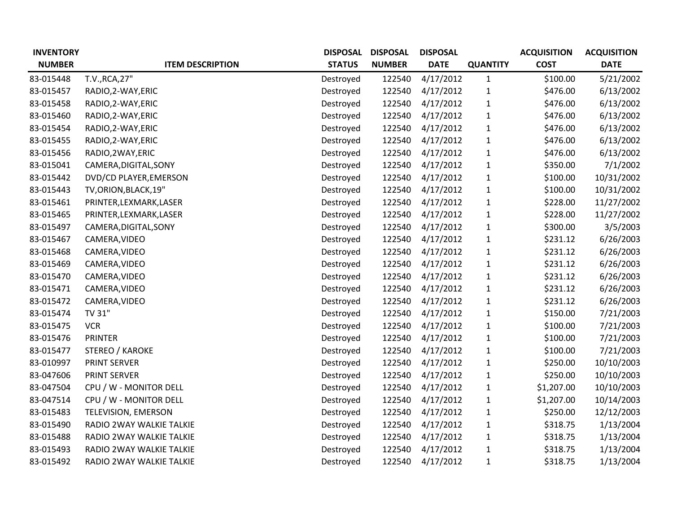| <b>INVENTORY</b> |                          | <b>DISPOSAL</b> | <b>DISPOSAL</b> | <b>DISPOSAL</b> |                 | <b>ACQUISITION</b> | <b>ACQUISITION</b> |
|------------------|--------------------------|-----------------|-----------------|-----------------|-----------------|--------------------|--------------------|
| <b>NUMBER</b>    | <b>ITEM DESCRIPTION</b>  | <b>STATUS</b>   | <b>NUMBER</b>   | <b>DATE</b>     | <b>QUANTITY</b> | <b>COST</b>        | <b>DATE</b>        |
| 83-015448        | T.V., RCA, 27"           | Destroyed       | 122540          | 4/17/2012       | $\mathbf{1}$    | \$100.00           | 5/21/2002          |
| 83-015457        | RADIO, 2-WAY, ERIC       | Destroyed       | 122540          | 4/17/2012       | $\mathbf{1}$    | \$476.00           | 6/13/2002          |
| 83-015458        | RADIO, 2-WAY, ERIC       | Destroyed       | 122540          | 4/17/2012       | $\mathbf{1}$    | \$476.00           | 6/13/2002          |
| 83-015460        | RADIO, 2-WAY, ERIC       | Destroyed       | 122540          | 4/17/2012       | 1               | \$476.00           | 6/13/2002          |
| 83-015454        | RADIO, 2-WAY, ERIC       | Destroyed       | 122540          | 4/17/2012       | $\mathbf{1}$    | \$476.00           | 6/13/2002          |
| 83-015455        | RADIO, 2-WAY, ERIC       | Destroyed       | 122540          | 4/17/2012       | 1               | \$476.00           | 6/13/2002          |
| 83-015456        | RADIO, 2WAY, ERIC        | Destroyed       | 122540          | 4/17/2012       | $\mathbf{1}$    | \$476.00           | 6/13/2002          |
| 83-015041        | CAMERA, DIGITAL, SONY    | Destroyed       | 122540          | 4/17/2012       | 1               | \$350.00           | 7/1/2002           |
| 83-015442        | DVD/CD PLAYER, EMERSON   | Destroyed       | 122540          | 4/17/2012       | 1               | \$100.00           | 10/31/2002         |
| 83-015443        | TV, ORION, BLACK, 19"    | Destroyed       | 122540          | 4/17/2012       | $\mathbf{1}$    | \$100.00           | 10/31/2002         |
| 83-015461        | PRINTER, LEXMARK, LASER  | Destroyed       | 122540          | 4/17/2012       | 1               | \$228.00           | 11/27/2002         |
| 83-015465        | PRINTER, LEXMARK, LASER  | Destroyed       | 122540          | 4/17/2012       | $\mathbf{1}$    | \$228.00           | 11/27/2002         |
| 83-015497        | CAMERA, DIGITAL, SONY    | Destroyed       | 122540          | 4/17/2012       | 1               | \$300.00           | 3/5/2003           |
| 83-015467        | CAMERA, VIDEO            | Destroyed       | 122540          | 4/17/2012       | $\mathbf{1}$    | \$231.12           | 6/26/2003          |
| 83-015468        | CAMERA, VIDEO            | Destroyed       | 122540          | 4/17/2012       | 1               | \$231.12           | 6/26/2003          |
| 83-015469        | CAMERA, VIDEO            | Destroyed       | 122540          | 4/17/2012       | $\mathbf{1}$    | \$231.12           | 6/26/2003          |
| 83-015470        | CAMERA, VIDEO            | Destroyed       | 122540          | 4/17/2012       | $\mathbf{1}$    | \$231.12           | 6/26/2003          |
| 83-015471        | CAMERA, VIDEO            | Destroyed       | 122540          | 4/17/2012       | 1               | \$231.12           | 6/26/2003          |
| 83-015472        | CAMERA, VIDEO            | Destroyed       | 122540          | 4/17/2012       | $\mathbf{1}$    | \$231.12           | 6/26/2003          |
| 83-015474        | TV 31"                   | Destroyed       | 122540          | 4/17/2012       | 1               | \$150.00           | 7/21/2003          |
| 83-015475        | <b>VCR</b>               | Destroyed       | 122540          | 4/17/2012       | $\mathbf{1}$    | \$100.00           | 7/21/2003          |
| 83-015476        | <b>PRINTER</b>           | Destroyed       | 122540          | 4/17/2012       | $\mathbf{1}$    | \$100.00           | 7/21/2003          |
| 83-015477        | STEREO / KAROKE          | Destroyed       | 122540          | 4/17/2012       | 1               | \$100.00           | 7/21/2003          |
| 83-010997        | PRINT SERVER             | Destroyed       | 122540          | 4/17/2012       | 1               | \$250.00           | 10/10/2003         |
| 83-047606        | <b>PRINT SERVER</b>      | Destroyed       | 122540          | 4/17/2012       | 1               | \$250.00           | 10/10/2003         |
| 83-047504        | CPU / W - MONITOR DELL   | Destroyed       | 122540          | 4/17/2012       | $\mathbf{1}$    | \$1,207.00         | 10/10/2003         |
| 83-047514        | CPU / W - MONITOR DELL   | Destroyed       | 122540          | 4/17/2012       | $\mathbf{1}$    | \$1,207.00         | 10/14/2003         |
| 83-015483        | TELEVISION, EMERSON      | Destroyed       | 122540          | 4/17/2012       | $\mathbf{1}$    | \$250.00           | 12/12/2003         |
| 83-015490        | RADIO 2WAY WALKIE TALKIE | Destroyed       | 122540          | 4/17/2012       | 1               | \$318.75           | 1/13/2004          |
| 83-015488        | RADIO 2WAY WALKIE TALKIE | Destroyed       | 122540          | 4/17/2012       | 1               | \$318.75           | 1/13/2004          |
| 83-015493        | RADIO 2WAY WALKIE TALKIE | Destroyed       | 122540          | 4/17/2012       | 1               | \$318.75           | 1/13/2004          |
| 83-015492        | RADIO 2WAY WALKIE TALKIE | Destroyed       | 122540          | 4/17/2012       | $\mathbf{1}$    | \$318.75           | 1/13/2004          |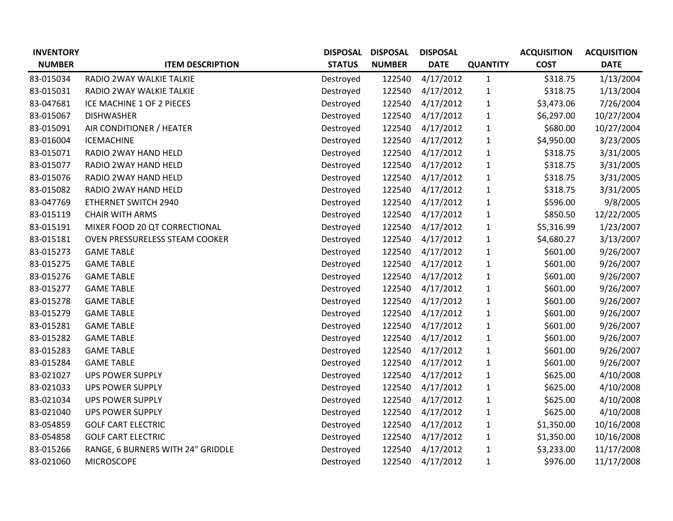| <b>INVENTORY</b> |                                       | <b>DISPOSAL</b> | <b>DISPOSAL</b> | <b>DISPOSAL</b> |                 | <b>ACQUISITION</b> | <b>ACQUISITION</b> |
|------------------|---------------------------------------|-----------------|-----------------|-----------------|-----------------|--------------------|--------------------|
| <b>NUMBER</b>    | <b>ITEM DESCRIPTION</b>               | <b>STATUS</b>   | <b>NUMBER</b>   | <b>DATE</b>     | <b>QUANTITY</b> | <b>COST</b>        | <b>DATE</b>        |
| 83-015034        | RADIO 2WAY WALKIE TALKIE              | Destroyed       | 122540          | 4/17/2012       | $\mathbf{1}$    | \$318.75           | 1/13/2004          |
| 83-015031        | RADIO 2WAY WALKIE TALKIE              | Destroyed       | 122540          | 4/17/2012       | $\mathbf{1}$    | \$318.75           | 1/13/2004          |
| 83-047681        | ICE MACHINE 1 OF 2 PIECES             | Destroyed       | 122540          | 4/17/2012       | $\mathbf{1}$    | \$3,473.06         | 7/26/2004          |
| 83-015067        | <b>DISHWASHER</b>                     | Destroyed       | 122540          | 4/17/2012       | $\mathbf{1}$    | \$6,297.00         | 10/27/2004         |
| 83-015091        | AIR CONDITIONER / HEATER              | Destroyed       | 122540          | 4/17/2012       | $\mathbf{1}$    | \$680.00           | 10/27/2004         |
| 83-016004        | <b>ICEMACHINE</b>                     | Destroyed       | 122540          | 4/17/2012       | $\mathbf{1}$    | \$4,950.00         | 3/23/2005          |
| 83-015071        | RADIO 2WAY HAND HELD                  | Destroyed       | 122540          | 4/17/2012       | $\mathbf{1}$    | \$318.75           | 3/31/2005          |
| 83-015077        | RADIO 2WAY HAND HELD                  | Destroyed       | 122540          | 4/17/2012       | $\mathbf{1}$    | \$318.75           | 3/31/2005          |
| 83-015076        | RADIO 2WAY HAND HELD                  | Destroyed       | 122540          | 4/17/2012       | $\mathbf{1}$    | \$318.75           | 3/31/2005          |
| 83-015082        | RADIO 2WAY HAND HELD                  | Destroyed       | 122540          | 4/17/2012       | $\mathbf{1}$    | \$318.75           | 3/31/2005          |
| 83-047769        | ETHERNET SWITCH 2940                  | Destroyed       | 122540          | 4/17/2012       | $\mathbf{1}$    | \$596.00           | 9/8/2005           |
| 83-015119        | <b>CHAIR WITH ARMS</b>                | Destroyed       | 122540          | 4/17/2012       | $\mathbf{1}$    | \$850.50           | 12/22/2005         |
| 83-015191        | MIXER FOOD 20 QT CORRECTIONAL         | Destroyed       | 122540          | 4/17/2012       | $\mathbf{1}$    | \$5,316.99         | 1/23/2007          |
| 83-015181        | <b>OVEN PRESSURELESS STEAM COOKER</b> | Destroyed       | 122540          | 4/17/2012       | $\mathbf{1}$    | \$4,680.27         | 3/13/2007          |
| 83-015273        | <b>GAME TABLE</b>                     | Destroyed       | 122540          | 4/17/2012       | $\mathbf{1}$    | \$601.00           | 9/26/2007          |
| 83-015275        | <b>GAME TABLE</b>                     | Destroyed       | 122540          | 4/17/2012       | $\mathbf{1}$    | \$601.00           | 9/26/2007          |
| 83-015276        | <b>GAME TABLE</b>                     | Destroyed       | 122540          | 4/17/2012       | $\mathbf{1}$    | \$601.00           | 9/26/2007          |
| 83-015277        | <b>GAME TABLE</b>                     | Destroyed       | 122540          | 4/17/2012       | $\mathbf{1}$    | \$601.00           | 9/26/2007          |
| 83-015278        | <b>GAME TABLE</b>                     | Destroyed       | 122540          | 4/17/2012       | $\mathbf{1}$    | \$601.00           | 9/26/2007          |
| 83-015279        | <b>GAME TABLE</b>                     | Destroyed       | 122540          | 4/17/2012       | $\mathbf{1}$    | \$601.00           | 9/26/2007          |
| 83-015281        | <b>GAME TABLE</b>                     | Destroyed       | 122540          | 4/17/2012       | $\mathbf{1}$    | \$601.00           | 9/26/2007          |
| 83-015282        | <b>GAME TABLE</b>                     | Destroyed       | 122540          | 4/17/2012       | $\mathbf{1}$    | \$601.00           | 9/26/2007          |
| 83-015283        | <b>GAME TABLE</b>                     | Destroyed       | 122540          | 4/17/2012       | $\mathbf{1}$    | \$601.00           | 9/26/2007          |
| 83-015284        | <b>GAME TABLE</b>                     | Destroyed       | 122540          | 4/17/2012       | $\mathbf{1}$    | \$601.00           | 9/26/2007          |
| 83-021027        | <b>UPS POWER SUPPLY</b>               | Destroyed       | 122540          | 4/17/2012       | $\mathbf{1}$    | \$625.00           | 4/10/2008          |
| 83-021033        | <b>UPS POWER SUPPLY</b>               | Destroyed       | 122540          | 4/17/2012       | $\mathbf 1$     | \$625.00           | 4/10/2008          |
| 83-021034        | <b>UPS POWER SUPPLY</b>               | Destroyed       | 122540          | 4/17/2012       | $\mathbf{1}$    | \$625.00           | 4/10/2008          |
| 83-021040        | <b>UPS POWER SUPPLY</b>               | Destroyed       | 122540          | 4/17/2012       | $\mathbf{1}$    | \$625.00           | 4/10/2008          |
| 83-054859        | <b>GOLF CART ELECTRIC</b>             | Destroyed       | 122540          | 4/17/2012       | $\mathbf{1}$    | \$1,350.00         | 10/16/2008         |
| 83-054858        | <b>GOLF CART ELECTRIC</b>             | Destroyed       | 122540          | 4/17/2012       | $\mathbf{1}$    | \$1,350.00         | 10/16/2008         |
| 83-015266        | RANGE, 6 BURNERS WITH 24" GRIDDLE     | Destroyed       | 122540          | 4/17/2012       | $\mathbf{1}$    | \$3,233.00         | 11/17/2008         |
| 83-021060        | <b>MICROSCOPE</b>                     | Destroyed       | 122540          | 4/17/2012       | $\mathbf{1}$    | \$976.00           | 11/17/2008         |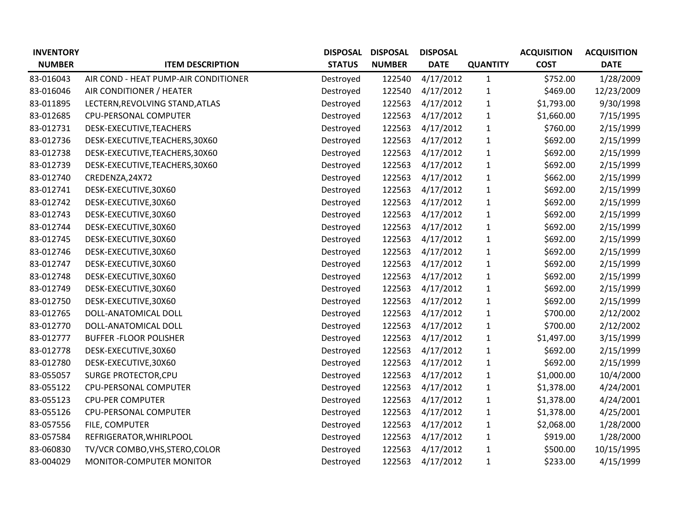| <b>INVENTORY</b> |                                      | <b>DISPOSAL</b> | <b>DISPOSAL</b> | <b>DISPOSAL</b> |                 | <b>ACQUISITION</b> | <b>ACQUISITION</b> |
|------------------|--------------------------------------|-----------------|-----------------|-----------------|-----------------|--------------------|--------------------|
| <b>NUMBER</b>    | <b>ITEM DESCRIPTION</b>              | <b>STATUS</b>   | <b>NUMBER</b>   | <b>DATE</b>     | <b>QUANTITY</b> | <b>COST</b>        | <b>DATE</b>        |
| 83-016043        | AIR COND - HEAT PUMP-AIR CONDITIONER | Destroyed       | 122540          | 4/17/2012       | $\mathbf{1}$    | \$752.00           | 1/28/2009          |
| 83-016046        | AIR CONDITIONER / HEATER             | Destroyed       | 122540          | 4/17/2012       | $\mathbf{1}$    | \$469.00           | 12/23/2009         |
| 83-011895        | LECTERN, REVOLVING STAND, ATLAS      | Destroyed       | 122563          | 4/17/2012       | $\mathbf{1}$    | \$1,793.00         | 9/30/1998          |
| 83-012685        | CPU-PERSONAL COMPUTER                | Destroyed       | 122563          | 4/17/2012       | $\mathbf{1}$    | \$1,660.00         | 7/15/1995          |
| 83-012731        | DESK-EXECUTIVE, TEACHERS             | Destroyed       | 122563          | 4/17/2012       | 1               | \$760.00           | 2/15/1999          |
| 83-012736        | DESK-EXECUTIVE, TEACHERS, 30X60      | Destroyed       | 122563          | 4/17/2012       | $\mathbf{1}$    | \$692.00           | 2/15/1999          |
| 83-012738        | DESK-EXECUTIVE, TEACHERS, 30X60      | Destroyed       | 122563          | 4/17/2012       | $\mathbf{1}$    | \$692.00           | 2/15/1999          |
| 83-012739        | DESK-EXECUTIVE, TEACHERS, 30X60      | Destroyed       | 122563          | 4/17/2012       | $\mathbf{1}$    | \$692.00           | 2/15/1999          |
| 83-012740        | CREDENZA, 24X72                      | Destroyed       | 122563          | 4/17/2012       | $\mathbf 1$     | \$662.00           | 2/15/1999          |
| 83-012741        | DESK-EXECUTIVE,30X60                 | Destroyed       | 122563          | 4/17/2012       | $\mathbf{1}$    | \$692.00           | 2/15/1999          |
| 83-012742        | DESK-EXECUTIVE,30X60                 | Destroyed       | 122563          | 4/17/2012       | 1               | \$692.00           | 2/15/1999          |
| 83-012743        | DESK-EXECUTIVE,30X60                 | Destroyed       | 122563          | 4/17/2012       | $\mathbf{1}$    | \$692.00           | 2/15/1999          |
| 83-012744        | DESK-EXECUTIVE, 30X60                | Destroyed       | 122563          | 4/17/2012       | 1               | \$692.00           | 2/15/1999          |
| 83-012745        | DESK-EXECUTIVE,30X60                 | Destroyed       | 122563          | 4/17/2012       | $\mathbf{1}$    | \$692.00           | 2/15/1999          |
| 83-012746        | DESK-EXECUTIVE,30X60                 | Destroyed       | 122563          | 4/17/2012       | $\mathbf{1}$    | \$692.00           | 2/15/1999          |
| 83-012747        | DESK-EXECUTIVE,30X60                 | Destroyed       | 122563          | 4/17/2012       | $\mathbf{1}$    | \$692.00           | 2/15/1999          |
| 83-012748        | DESK-EXECUTIVE,30X60                 | Destroyed       | 122563          | 4/17/2012       | $\mathbf{1}$    | \$692.00           | 2/15/1999          |
| 83-012749        | DESK-EXECUTIVE,30X60                 | Destroyed       | 122563          | 4/17/2012       | $\mathbf{1}$    | \$692.00           | 2/15/1999          |
| 83-012750        | DESK-EXECUTIVE,30X60                 | Destroyed       | 122563          | 4/17/2012       | $\mathbf 1$     | \$692.00           | 2/15/1999          |
| 83-012765        | DOLL-ANATOMICAL DOLL                 | Destroyed       | 122563          | 4/17/2012       | 1               | \$700.00           | 2/12/2002          |
| 83-012770        | DOLL-ANATOMICAL DOLL                 | Destroyed       | 122563          | 4/17/2012       | 1               | \$700.00           | 2/12/2002          |
| 83-012777        | <b>BUFFER-FLOOR POLISHER</b>         | Destroyed       | 122563          | 4/17/2012       | $\mathbf{1}$    | \$1,497.00         | 3/15/1999          |
| 83-012778        | DESK-EXECUTIVE,30X60                 | Destroyed       | 122563          | 4/17/2012       | $\mathbf{1}$    | \$692.00           | 2/15/1999          |
| 83-012780        | DESK-EXECUTIVE, 30X60                | Destroyed       | 122563          | 4/17/2012       | $\mathbf{1}$    | \$692.00           | 2/15/1999          |
| 83-055057        | <b>SURGE PROTECTOR, CPU</b>          | Destroyed       | 122563          | 4/17/2012       | $\mathbf{1}$    | \$1,000.00         | 10/4/2000          |
| 83-055122        | CPU-PERSONAL COMPUTER                | Destroyed       | 122563          | 4/17/2012       | $\mathbf{1}$    | \$1,378.00         | 4/24/2001          |
| 83-055123        | <b>CPU-PER COMPUTER</b>              | Destroyed       | 122563          | 4/17/2012       | $\mathbf{1}$    | \$1,378.00         | 4/24/2001          |
| 83-055126        | CPU-PERSONAL COMPUTER                | Destroyed       | 122563          | 4/17/2012       | $\mathbf{1}$    | \$1,378.00         | 4/25/2001          |
| 83-057556        | FILE, COMPUTER                       | Destroyed       | 122563          | 4/17/2012       | 1               | \$2,068.00         | 1/28/2000          |
| 83-057584        | REFRIGERATOR, WHIRLPOOL              | Destroyed       | 122563          | 4/17/2012       | 1               | \$919.00           | 1/28/2000          |
| 83-060830        | TV/VCR COMBO, VHS, STERO, COLOR      | Destroyed       | 122563          | 4/17/2012       | $\mathbf{1}$    | \$500.00           | 10/15/1995         |
| 83-004029        | MONITOR-COMPUTER MONITOR             | Destroyed       | 122563          | 4/17/2012       | $\mathbf{1}$    | \$233.00           | 4/15/1999          |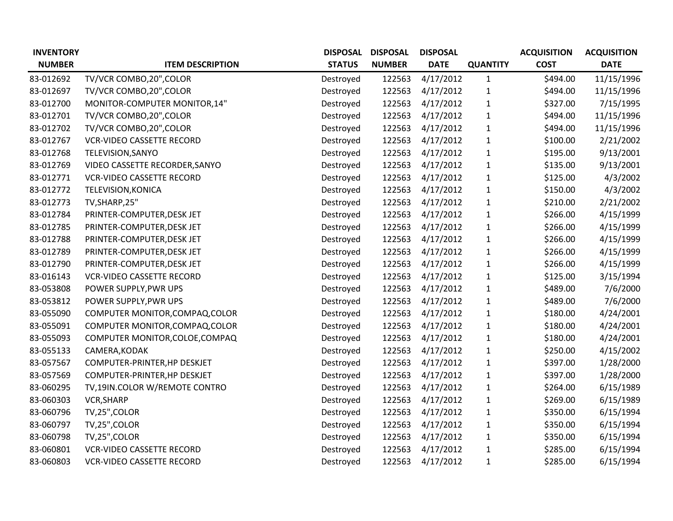| <b>INVENTORY</b> |                                  | <b>DISPOSAL</b> | <b>DISPOSAL</b> | <b>DISPOSAL</b> |                 | <b>ACQUISITION</b> | <b>ACQUISITION</b> |
|------------------|----------------------------------|-----------------|-----------------|-----------------|-----------------|--------------------|--------------------|
| <b>NUMBER</b>    | <b>ITEM DESCRIPTION</b>          | <b>STATUS</b>   | <b>NUMBER</b>   | <b>DATE</b>     | <b>QUANTITY</b> | <b>COST</b>        | <b>DATE</b>        |
| 83-012692        | TV/VCR COMBO,20", COLOR          | Destroyed       | 122563          | 4/17/2012       | $\mathbf{1}$    | \$494.00           | 11/15/1996         |
| 83-012697        | TV/VCR COMBO, 20", COLOR         | Destroyed       | 122563          | 4/17/2012       | $\mathbf{1}$    | \$494.00           | 11/15/1996         |
| 83-012700        | MONITOR-COMPUTER MONITOR, 14"    | Destroyed       | 122563          | 4/17/2012       | $\mathbf{1}$    | \$327.00           | 7/15/1995          |
| 83-012701        | TV/VCR COMBO, 20", COLOR         | Destroyed       | 122563          | 4/17/2012       | $\mathbf{1}$    | \$494.00           | 11/15/1996         |
| 83-012702        | TV/VCR COMBO, 20", COLOR         | Destroyed       | 122563          | 4/17/2012       | $\mathbf{1}$    | \$494.00           | 11/15/1996         |
| 83-012767        | <b>VCR-VIDEO CASSETTE RECORD</b> | Destroyed       | 122563          | 4/17/2012       | $\mathbf{1}$    | \$100.00           | 2/21/2002          |
| 83-012768        | TELEVISION, SANYO                | Destroyed       | 122563          | 4/17/2012       | $\mathbf{1}$    | \$195.00           | 9/13/2001          |
| 83-012769        | VIDEO CASSETTE RECORDER, SANYO   | Destroyed       | 122563          | 4/17/2012       | $\mathbf{1}$    | \$135.00           | 9/13/2001          |
| 83-012771        | <b>VCR-VIDEO CASSETTE RECORD</b> | Destroyed       | 122563          | 4/17/2012       | $\mathbf{1}$    | \$125.00           | 4/3/2002           |
| 83-012772        | TELEVISION, KONICA               | Destroyed       | 122563          | 4/17/2012       | $\mathbf{1}$    | \$150.00           | 4/3/2002           |
| 83-012773        | TV, SHARP, 25"                   | Destroyed       | 122563          | 4/17/2012       | $\mathbf{1}$    | \$210.00           | 2/21/2002          |
| 83-012784        | PRINTER-COMPUTER, DESK JET       | Destroyed       | 122563          | 4/17/2012       | $\mathbf{1}$    | \$266.00           | 4/15/1999          |
| 83-012785        | PRINTER-COMPUTER, DESK JET       | Destroyed       | 122563          | 4/17/2012       | $\mathbf{1}$    | \$266.00           | 4/15/1999          |
| 83-012788        | PRINTER-COMPUTER, DESK JET       | Destroyed       | 122563          | 4/17/2012       | $\mathbf{1}$    | \$266.00           | 4/15/1999          |
| 83-012789        | PRINTER-COMPUTER, DESK JET       | Destroyed       | 122563          | 4/17/2012       | $\mathbf{1}$    | \$266.00           | 4/15/1999          |
| 83-012790        | PRINTER-COMPUTER, DESK JET       | Destroyed       | 122563          | 4/17/2012       | $\mathbf{1}$    | \$266.00           | 4/15/1999          |
| 83-016143        | <b>VCR-VIDEO CASSETTE RECORD</b> | Destroyed       | 122563          | 4/17/2012       | $\mathbf{1}$    | \$125.00           | 3/15/1994          |
| 83-053808        | POWER SUPPLY, PWR UPS            | Destroyed       | 122563          | 4/17/2012       | $\mathbf{1}$    | \$489.00           | 7/6/2000           |
| 83-053812        | POWER SUPPLY, PWR UPS            | Destroyed       | 122563          | 4/17/2012       | $\mathbf{1}$    | \$489.00           | 7/6/2000           |
| 83-055090        | COMPUTER MONITOR, COMPAQ, COLOR  | Destroyed       | 122563          | 4/17/2012       | $\mathbf{1}$    | \$180.00           | 4/24/2001          |
| 83-055091        | COMPUTER MONITOR, COMPAQ, COLOR  | Destroyed       | 122563          | 4/17/2012       | $\mathbf{1}$    | \$180.00           | 4/24/2001          |
| 83-055093        | COMPUTER MONITOR, COLOE, COMPAQ  | Destroyed       | 122563          | 4/17/2012       | $\mathbf{1}$    | \$180.00           | 4/24/2001          |
| 83-055133        | CAMERA, KODAK                    | Destroyed       | 122563          | 4/17/2012       | $\mathbf{1}$    | \$250.00           | 4/15/2002          |
| 83-057567        | COMPUTER-PRINTER, HP DESKJET     | Destroyed       | 122563          | 4/17/2012       | $\mathbf{1}$    | \$397.00           | 1/28/2000          |
| 83-057569        | COMPUTER-PRINTER, HP DESKJET     | Destroyed       | 122563          | 4/17/2012       | $\mathbf{1}$    | \$397.00           | 1/28/2000          |
| 83-060295        | TV,19IN.COLOR W/REMOTE CONTRO    | Destroyed       | 122563          | 4/17/2012       | $\mathbf{1}$    | \$264.00           | 6/15/1989          |
| 83-060303        | VCR, SHARP                       | Destroyed       | 122563          | 4/17/2012       | $\mathbf{1}$    | \$269.00           | 6/15/1989          |
| 83-060796        | TV,25",COLOR                     | Destroyed       | 122563          | 4/17/2012       | $\mathbf{1}$    | \$350.00           | 6/15/1994          |
| 83-060797        | TV,25", COLOR                    | Destroyed       | 122563          | 4/17/2012       | $\mathbf{1}$    | \$350.00           | 6/15/1994          |
| 83-060798        | TV,25",COLOR                     | Destroyed       | 122563          | 4/17/2012       | $\mathbf{1}$    | \$350.00           | 6/15/1994          |
| 83-060801        | <b>VCR-VIDEO CASSETTE RECORD</b> | Destroyed       | 122563          | 4/17/2012       | $\mathbf{1}$    | \$285.00           | 6/15/1994          |
| 83-060803        | <b>VCR-VIDEO CASSETTE RECORD</b> | Destroyed       | 122563          | 4/17/2012       | $\mathbf{1}$    | \$285.00           | 6/15/1994          |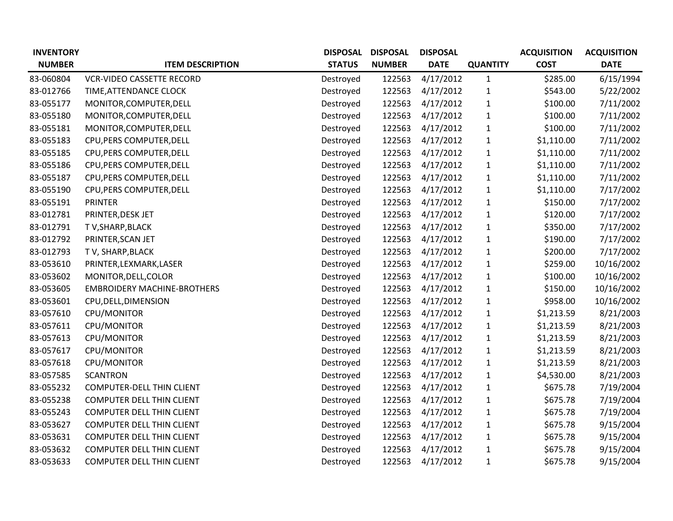| <b>INVENTORY</b> |                                    | <b>DISPOSAL</b> | <b>DISPOSAL</b> | <b>DISPOSAL</b> |                 | <b>ACQUISITION</b> | <b>ACQUISITION</b> |
|------------------|------------------------------------|-----------------|-----------------|-----------------|-----------------|--------------------|--------------------|
| <b>NUMBER</b>    | <b>ITEM DESCRIPTION</b>            | <b>STATUS</b>   | <b>NUMBER</b>   | <b>DATE</b>     | <b>QUANTITY</b> | <b>COST</b>        | <b>DATE</b>        |
| 83-060804        | <b>VCR-VIDEO CASSETTE RECORD</b>   | Destroyed       | 122563          | 4/17/2012       | $\mathbf{1}$    | \$285.00           | 6/15/1994          |
| 83-012766        | TIME, ATTENDANCE CLOCK             | Destroyed       | 122563          | 4/17/2012       | $\mathbf{1}$    | \$543.00           | 5/22/2002          |
| 83-055177        | MONITOR, COMPUTER, DELL            | Destroyed       | 122563          | 4/17/2012       | $\mathbf{1}$    | \$100.00           | 7/11/2002          |
| 83-055180        | MONITOR, COMPUTER, DELL            | Destroyed       | 122563          | 4/17/2012       | $\mathbf{1}$    | \$100.00           | 7/11/2002          |
| 83-055181        | MONITOR, COMPUTER, DELL            | Destroyed       | 122563          | 4/17/2012       | $\mathbf{1}$    | \$100.00           | 7/11/2002          |
| 83-055183        | CPU, PERS COMPUTER, DELL           | Destroyed       | 122563          | 4/17/2012       | $\mathbf{1}$    | \$1,110.00         | 7/11/2002          |
| 83-055185        | CPU, PERS COMPUTER, DELL           | Destroyed       | 122563          | 4/17/2012       | $\mathbf{1}$    | \$1,110.00         | 7/11/2002          |
| 83-055186        | CPU, PERS COMPUTER, DELL           | Destroyed       | 122563          | 4/17/2012       | $\mathbf{1}$    | \$1,110.00         | 7/11/2002          |
| 83-055187        | CPU, PERS COMPUTER, DELL           | Destroyed       | 122563          | 4/17/2012       | $\mathbf{1}$    | \$1,110.00         | 7/11/2002          |
| 83-055190        | CPU, PERS COMPUTER, DELL           | Destroyed       | 122563          | 4/17/2012       | $\mathbf{1}$    | \$1,110.00         | 7/17/2002          |
| 83-055191        | <b>PRINTER</b>                     | Destroyed       | 122563          | 4/17/2012       | $\mathbf{1}$    | \$150.00           | 7/17/2002          |
| 83-012781        | PRINTER, DESK JET                  | Destroyed       | 122563          | 4/17/2012       | $\mathbf{1}$    | \$120.00           | 7/17/2002          |
| 83-012791        | T V, SHARP, BLACK                  | Destroyed       | 122563          | 4/17/2012       | $\mathbf{1}$    | \$350.00           | 7/17/2002          |
| 83-012792        | PRINTER, SCAN JET                  | Destroyed       | 122563          | 4/17/2012       | $\mathbf{1}$    | \$190.00           | 7/17/2002          |
| 83-012793        | TV, SHARP, BLACK                   | Destroyed       | 122563          | 4/17/2012       | $\mathbf{1}$    | \$200.00           | 7/17/2002          |
| 83-053610        | PRINTER, LEXMARK, LASER            | Destroyed       | 122563          | 4/17/2012       | $\mathbf{1}$    | \$259.00           | 10/16/2002         |
| 83-053602        | MONITOR, DELL, COLOR               | Destroyed       | 122563          | 4/17/2012       | $\mathbf{1}$    | \$100.00           | 10/16/2002         |
| 83-053605        | <b>EMBROIDERY MACHINE-BROTHERS</b> | Destroyed       | 122563          | 4/17/2012       | $\mathbf{1}$    | \$150.00           | 10/16/2002         |
| 83-053601        | CPU, DELL, DIMENSION               | Destroyed       | 122563          | 4/17/2012       | $\mathbf{1}$    | \$958.00           | 10/16/2002         |
| 83-057610        | CPU/MONITOR                        | Destroyed       | 122563          | 4/17/2012       | $\mathbf{1}$    | \$1,213.59         | 8/21/2003          |
| 83-057611        | CPU/MONITOR                        | Destroyed       | 122563          | 4/17/2012       | $\mathbf{1}$    | \$1,213.59         | 8/21/2003          |
| 83-057613        | CPU/MONITOR                        | Destroyed       | 122563          | 4/17/2012       | $\mathbf{1}$    | \$1,213.59         | 8/21/2003          |
| 83-057617        | CPU/MONITOR                        | Destroyed       | 122563          | 4/17/2012       | $\mathbf{1}$    | \$1,213.59         | 8/21/2003          |
| 83-057618        | CPU/MONITOR                        | Destroyed       | 122563          | 4/17/2012       | $\mathbf{1}$    | \$1,213.59         | 8/21/2003          |
| 83-057585        | <b>SCANTRON</b>                    | Destroyed       | 122563          | 4/17/2012       | $\mathbf{1}$    | \$4,530.00         | 8/21/2003          |
| 83-055232        | <b>COMPUTER-DELL THIN CLIENT</b>   | Destroyed       | 122563          | 4/17/2012       | $\mathbf 1$     | \$675.78           | 7/19/2004          |
| 83-055238        | COMPUTER DELL THIN CLIENT          | Destroyed       | 122563          | 4/17/2012       | $\mathbf{1}$    | \$675.78           | 7/19/2004          |
| 83-055243        | <b>COMPUTER DELL THIN CLIENT</b>   | Destroyed       | 122563          | 4/17/2012       | $\mathbf{1}$    | \$675.78           | 7/19/2004          |
| 83-053627        | <b>COMPUTER DELL THIN CLIENT</b>   | Destroyed       | 122563          | 4/17/2012       | $\mathbf{1}$    | \$675.78           | 9/15/2004          |
| 83-053631        | <b>COMPUTER DELL THIN CLIENT</b>   | Destroyed       | 122563          | 4/17/2012       | $\mathbf{1}$    | \$675.78           | 9/15/2004          |
| 83-053632        | COMPUTER DELL THIN CLIENT          | Destroyed       | 122563          | 4/17/2012       | $\mathbf{1}$    | \$675.78           | 9/15/2004          |
| 83-053633        | <b>COMPUTER DELL THIN CLIENT</b>   | Destroyed       | 122563          | 4/17/2012       | $\mathbf{1}$    | \$675.78           | 9/15/2004          |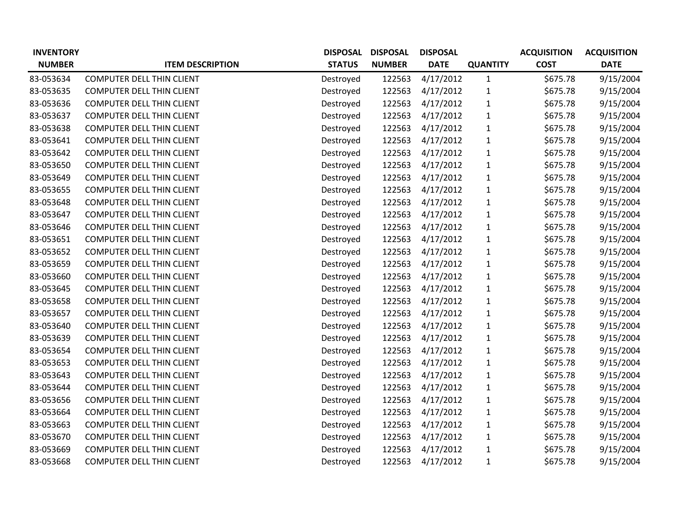| <b>INVENTORY</b> |                                  | <b>DISPOSAL</b> | <b>DISPOSAL</b> | <b>DISPOSAL</b> |                 | <b>ACQUISITION</b> | <b>ACQUISITION</b> |
|------------------|----------------------------------|-----------------|-----------------|-----------------|-----------------|--------------------|--------------------|
| <b>NUMBER</b>    | <b>ITEM DESCRIPTION</b>          | <b>STATUS</b>   | <b>NUMBER</b>   | <b>DATE</b>     | <b>QUANTITY</b> | <b>COST</b>        | <b>DATE</b>        |
| 83-053634        | <b>COMPUTER DELL THIN CLIENT</b> | Destroyed       | 122563          | 4/17/2012       | $\mathbf{1}$    | \$675.78           | 9/15/2004          |
| 83-053635        | COMPUTER DELL THIN CLIENT        | Destroyed       | 122563          | 4/17/2012       | $\mathbf{1}$    | \$675.78           | 9/15/2004          |
| 83-053636        | <b>COMPUTER DELL THIN CLIENT</b> | Destroyed       | 122563          | 4/17/2012       | $\mathbf{1}$    | \$675.78           | 9/15/2004          |
| 83-053637        | <b>COMPUTER DELL THIN CLIENT</b> | Destroyed       | 122563          | 4/17/2012       | $\mathbf{1}$    | \$675.78           | 9/15/2004          |
| 83-053638        | <b>COMPUTER DELL THIN CLIENT</b> | Destroyed       | 122563          | 4/17/2012       | $\mathbf{1}$    | \$675.78           | 9/15/2004          |
| 83-053641        | COMPUTER DELL THIN CLIENT        | Destroyed       | 122563          | 4/17/2012       | $\mathbf{1}$    | \$675.78           | 9/15/2004          |
| 83-053642        | <b>COMPUTER DELL THIN CLIENT</b> | Destroyed       | 122563          | 4/17/2012       | $\mathbf{1}$    | \$675.78           | 9/15/2004          |
| 83-053650        | <b>COMPUTER DELL THIN CLIENT</b> | Destroyed       | 122563          | 4/17/2012       | $\mathbf{1}$    | \$675.78           | 9/15/2004          |
| 83-053649        | <b>COMPUTER DELL THIN CLIENT</b> | Destroyed       | 122563          | 4/17/2012       | $\mathbf{1}$    | \$675.78           | 9/15/2004          |
| 83-053655        | <b>COMPUTER DELL THIN CLIENT</b> | Destroyed       | 122563          | 4/17/2012       | $\mathbf{1}$    | \$675.78           | 9/15/2004          |
| 83-053648        | <b>COMPUTER DELL THIN CLIENT</b> | Destroyed       | 122563          | 4/17/2012       | $\mathbf{1}$    | \$675.78           | 9/15/2004          |
| 83-053647        | <b>COMPUTER DELL THIN CLIENT</b> | Destroyed       | 122563          | 4/17/2012       | $\mathbf{1}$    | \$675.78           | 9/15/2004          |
| 83-053646        | COMPUTER DELL THIN CLIENT        | Destroyed       | 122563          | 4/17/2012       | $\mathbf{1}$    | \$675.78           | 9/15/2004          |
| 83-053651        | <b>COMPUTER DELL THIN CLIENT</b> | Destroyed       | 122563          | 4/17/2012       | $\mathbf{1}$    | \$675.78           | 9/15/2004          |
| 83-053652        | COMPUTER DELL THIN CLIENT        | Destroyed       | 122563          | 4/17/2012       | $\mathbf{1}$    | \$675.78           | 9/15/2004          |
| 83-053659        | COMPUTER DELL THIN CLIENT        | Destroyed       | 122563          | 4/17/2012       | $\mathbf{1}$    | \$675.78           | 9/15/2004          |
| 83-053660        | <b>COMPUTER DELL THIN CLIENT</b> | Destroyed       | 122563          | 4/17/2012       | $\mathbf{1}$    | \$675.78           | 9/15/2004          |
| 83-053645        | <b>COMPUTER DELL THIN CLIENT</b> | Destroyed       | 122563          | 4/17/2012       | $\mathbf{1}$    | \$675.78           | 9/15/2004          |
| 83-053658        | <b>COMPUTER DELL THIN CLIENT</b> | Destroyed       | 122563          | 4/17/2012       | $\mathbf{1}$    | \$675.78           | 9/15/2004          |
| 83-053657        | COMPUTER DELL THIN CLIENT        | Destroyed       | 122563          | 4/17/2012       | $\mathbf{1}$    | \$675.78           | 9/15/2004          |
| 83-053640        | <b>COMPUTER DELL THIN CLIENT</b> | Destroyed       | 122563          | 4/17/2012       | $\mathbf{1}$    | \$675.78           | 9/15/2004          |
| 83-053639        | <b>COMPUTER DELL THIN CLIENT</b> | Destroyed       | 122563          | 4/17/2012       | $\mathbf{1}$    | \$675.78           | 9/15/2004          |
| 83-053654        | COMPUTER DELL THIN CLIENT        | Destroyed       | 122563          | 4/17/2012       | $\mathbf{1}$    | \$675.78           | 9/15/2004          |
| 83-053653        | <b>COMPUTER DELL THIN CLIENT</b> | Destroyed       | 122563          | 4/17/2012       | $\mathbf{1}$    | \$675.78           | 9/15/2004          |
| 83-053643        | <b>COMPUTER DELL THIN CLIENT</b> | Destroyed       | 122563          | 4/17/2012       | $\mathbf{1}$    | \$675.78           | 9/15/2004          |
| 83-053644        | <b>COMPUTER DELL THIN CLIENT</b> | Destroyed       | 122563          | 4/17/2012       | $\mathbf{1}$    | \$675.78           | 9/15/2004          |
| 83-053656        | <b>COMPUTER DELL THIN CLIENT</b> | Destroyed       | 122563          | 4/17/2012       | $\mathbf{1}$    | \$675.78           | 9/15/2004          |
| 83-053664        | <b>COMPUTER DELL THIN CLIENT</b> | Destroyed       | 122563          | 4/17/2012       | $\mathbf{1}$    | \$675.78           | 9/15/2004          |
| 83-053663        | <b>COMPUTER DELL THIN CLIENT</b> | Destroyed       | 122563          | 4/17/2012       | $\mathbf{1}$    | \$675.78           | 9/15/2004          |
| 83-053670        | COMPUTER DELL THIN CLIENT        | Destroyed       | 122563          | 4/17/2012       | $\mathbf{1}$    | \$675.78           | 9/15/2004          |
| 83-053669        | <b>COMPUTER DELL THIN CLIENT</b> | Destroyed       | 122563          | 4/17/2012       | $\mathbf{1}$    | \$675.78           | 9/15/2004          |
| 83-053668        | <b>COMPUTER DELL THIN CLIENT</b> | Destroyed       | 122563          | 4/17/2012       | $\mathbf{1}$    | \$675.78           | 9/15/2004          |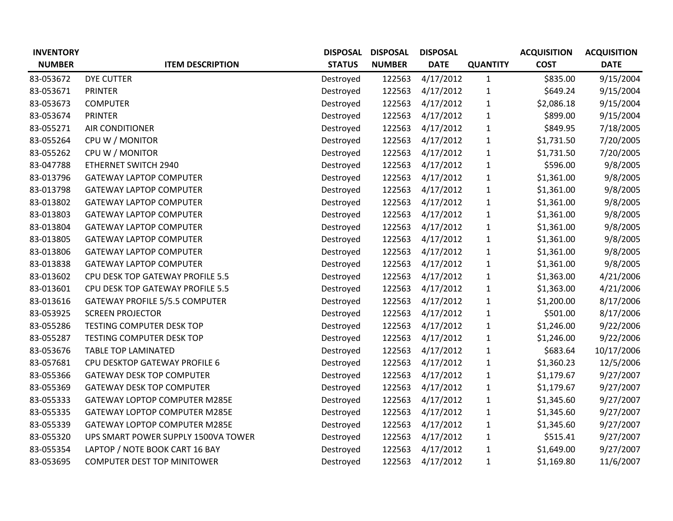| <b>INVENTORY</b> |                                       | <b>DISPOSAL</b> | <b>DISPOSAL</b> | <b>DISPOSAL</b> |                 | <b>ACQUISITION</b> | <b>ACQUISITION</b> |
|------------------|---------------------------------------|-----------------|-----------------|-----------------|-----------------|--------------------|--------------------|
| <b>NUMBER</b>    | <b>ITEM DESCRIPTION</b>               | <b>STATUS</b>   | <b>NUMBER</b>   | <b>DATE</b>     | <b>QUANTITY</b> | <b>COST</b>        | <b>DATE</b>        |
| 83-053672        | <b>DYE CUTTER</b>                     | Destroyed       | 122563          | 4/17/2012       | $\mathbf{1}$    | \$835.00           | 9/15/2004          |
| 83-053671        | <b>PRINTER</b>                        | Destroyed       | 122563          | 4/17/2012       | $\mathbf{1}$    | \$649.24           | 9/15/2004          |
| 83-053673        | <b>COMPUTER</b>                       | Destroyed       | 122563          | 4/17/2012       | $\mathbf{1}$    | \$2,086.18         | 9/15/2004          |
| 83-053674        | <b>PRINTER</b>                        | Destroyed       | 122563          | 4/17/2012       | $\mathbf{1}$    | \$899.00           | 9/15/2004          |
| 83-055271        | AIR CONDITIONER                       | Destroyed       | 122563          | 4/17/2012       | $\mathbf{1}$    | \$849.95           | 7/18/2005          |
| 83-055264        | CPU W / MONITOR                       | Destroyed       | 122563          | 4/17/2012       | $\mathbf{1}$    | \$1,731.50         | 7/20/2005          |
| 83-055262        | CPU W / MONITOR                       | Destroyed       | 122563          | 4/17/2012       | $\mathbf{1}$    | \$1,731.50         | 7/20/2005          |
| 83-047788        | ETHERNET SWITCH 2940                  | Destroyed       | 122563          | 4/17/2012       | $\mathbf{1}$    | \$596.00           | 9/8/2005           |
| 83-013796        | <b>GATEWAY LAPTOP COMPUTER</b>        | Destroyed       | 122563          | 4/17/2012       | $\mathbf{1}$    | \$1,361.00         | 9/8/2005           |
| 83-013798        | <b>GATEWAY LAPTOP COMPUTER</b>        | Destroyed       | 122563          | 4/17/2012       | $\mathbf{1}$    | \$1,361.00         | 9/8/2005           |
| 83-013802        | <b>GATEWAY LAPTOP COMPUTER</b>        | Destroyed       | 122563          | 4/17/2012       | 1               | \$1,361.00         | 9/8/2005           |
| 83-013803        | <b>GATEWAY LAPTOP COMPUTER</b>        | Destroyed       | 122563          | 4/17/2012       | $\mathbf{1}$    | \$1,361.00         | 9/8/2005           |
| 83-013804        | <b>GATEWAY LAPTOP COMPUTER</b>        | Destroyed       | 122563          | 4/17/2012       | $\mathbf{1}$    | \$1,361.00         | 9/8/2005           |
| 83-013805        | <b>GATEWAY LAPTOP COMPUTER</b>        | Destroyed       | 122563          | 4/17/2012       | $\mathbf{1}$    | \$1,361.00         | 9/8/2005           |
| 83-013806        | <b>GATEWAY LAPTOP COMPUTER</b>        | Destroyed       | 122563          | 4/17/2012       | $\mathbf{1}$    | \$1,361.00         | 9/8/2005           |
| 83-013838        | <b>GATEWAY LAPTOP COMPUTER</b>        | Destroyed       | 122563          | 4/17/2012       | 1               | \$1,361.00         | 9/8/2005           |
| 83-013602        | CPU DESK TOP GATEWAY PROFILE 5.5      | Destroyed       | 122563          | 4/17/2012       | $\mathbf{1}$    | \$1,363.00         | 4/21/2006          |
| 83-013601        | CPU DESK TOP GATEWAY PROFILE 5.5      | Destroyed       | 122563          | 4/17/2012       | $\mathbf{1}$    | \$1,363.00         | 4/21/2006          |
| 83-013616        | <b>GATEWAY PROFILE 5/5.5 COMPUTER</b> | Destroyed       | 122563          | 4/17/2012       | $\mathbf{1}$    | \$1,200.00         | 8/17/2006          |
| 83-053925        | <b>SCREEN PROJECTOR</b>               | Destroyed       | 122563          | 4/17/2012       | $\mathbf{1}$    | \$501.00           | 8/17/2006          |
| 83-055286        | TESTING COMPUTER DESK TOP             | Destroyed       | 122563          | 4/17/2012       | $\mathbf{1}$    | \$1,246.00         | 9/22/2006          |
| 83-055287        | <b>TESTING COMPUTER DESK TOP</b>      | Destroyed       | 122563          | 4/17/2012       | $\mathbf{1}$    | \$1,246.00         | 9/22/2006          |
| 83-053676        | <b>TABLE TOP LAMINATED</b>            | Destroyed       | 122563          | 4/17/2012       | $\mathbf{1}$    | \$683.64           | 10/17/2006         |
| 83-057681        | CPU DESKTOP GATEWAY PROFILE 6         | Destroyed       | 122563          | 4/17/2012       | $\mathbf{1}$    | \$1,360.23         | 12/5/2006          |
| 83-055366        | <b>GATEWAY DESK TOP COMPUTER</b>      | Destroyed       | 122563          | 4/17/2012       | $\mathbf{1}$    | \$1,179.67         | 9/27/2007          |
| 83-055369        | <b>GATEWAY DESK TOP COMPUTER</b>      | Destroyed       | 122563          | 4/17/2012       | $\mathbf{1}$    | \$1,179.67         | 9/27/2007          |
| 83-055333        | <b>GATEWAY LOPTOP COMPUTER M285E</b>  | Destroyed       | 122563          | 4/17/2012       | $\mathbf{1}$    | \$1,345.60         | 9/27/2007          |
| 83-055335        | <b>GATEWAY LOPTOP COMPUTER M285E</b>  | Destroyed       | 122563          | 4/17/2012       | $\mathbf{1}$    | \$1,345.60         | 9/27/2007          |
| 83-055339        | <b>GATEWAY LOPTOP COMPUTER M285E</b>  | Destroyed       | 122563          | 4/17/2012       | $\mathbf{1}$    | \$1,345.60         | 9/27/2007          |
| 83-055320        | UPS SMART POWER SUPPLY 1500VA TOWER   | Destroyed       | 122563          | 4/17/2012       | 1               | \$515.41           | 9/27/2007          |
| 83-055354        | LAPTOP / NOTE BOOK CART 16 BAY        | Destroyed       | 122563          | 4/17/2012       | $\mathbf{1}$    | \$1,649.00         | 9/27/2007          |
| 83-053695        | <b>COMPUTER DEST TOP MINITOWER</b>    | Destroyed       | 122563          | 4/17/2012       | 1               | \$1,169.80         | 11/6/2007          |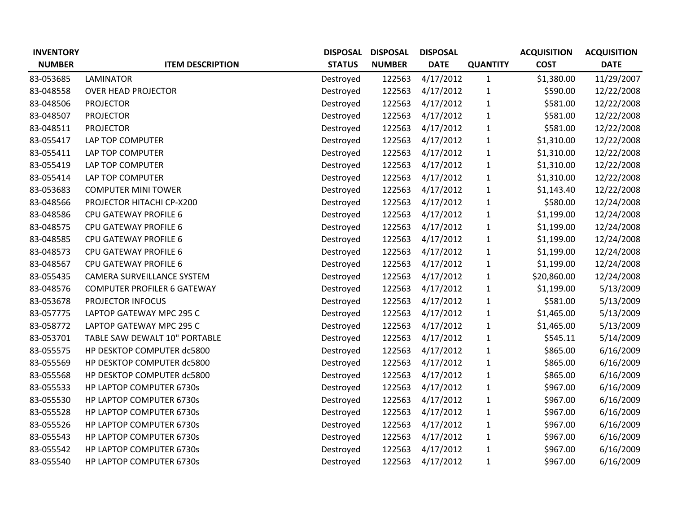| <b>INVENTORY</b> |                                    | <b>DISPOSAL</b> | <b>DISPOSAL</b> | <b>DISPOSAL</b> |                 | <b>ACQUISITION</b> | <b>ACQUISITION</b> |
|------------------|------------------------------------|-----------------|-----------------|-----------------|-----------------|--------------------|--------------------|
| <b>NUMBER</b>    | <b>ITEM DESCRIPTION</b>            | <b>STATUS</b>   | <b>NUMBER</b>   | <b>DATE</b>     | <b>QUANTITY</b> | <b>COST</b>        | <b>DATE</b>        |
| 83-053685        | <b>LAMINATOR</b>                   | Destroyed       | 122563          | 4/17/2012       | $\mathbf{1}$    | \$1,380.00         | 11/29/2007         |
| 83-048558        | <b>OVER HEAD PROJECTOR</b>         | Destroyed       | 122563          | 4/17/2012       | $\mathbf{1}$    | \$590.00           | 12/22/2008         |
| 83-048506        | <b>PROJECTOR</b>                   | Destroyed       | 122563          | 4/17/2012       | $\mathbf{1}$    | \$581.00           | 12/22/2008         |
| 83-048507        | <b>PROJECTOR</b>                   | Destroyed       | 122563          | 4/17/2012       | $\mathbf{1}$    | \$581.00           | 12/22/2008         |
| 83-048511        | <b>PROJECTOR</b>                   | Destroyed       | 122563          | 4/17/2012       | $\mathbf{1}$    | \$581.00           | 12/22/2008         |
| 83-055417        | LAP TOP COMPUTER                   | Destroyed       | 122563          | 4/17/2012       | $\mathbf{1}$    | \$1,310.00         | 12/22/2008         |
| 83-055411        | LAP TOP COMPUTER                   | Destroyed       | 122563          | 4/17/2012       | $\mathbf{1}$    | \$1,310.00         | 12/22/2008         |
| 83-055419        | LAP TOP COMPUTER                   | Destroyed       | 122563          | 4/17/2012       | $\mathbf{1}$    | \$1,310.00         | 12/22/2008         |
| 83-055414        | LAP TOP COMPUTER                   | Destroyed       | 122563          | 4/17/2012       | $\mathbf{1}$    | \$1,310.00         | 12/22/2008         |
| 83-053683        | <b>COMPUTER MINI TOWER</b>         | Destroyed       | 122563          | 4/17/2012       | $\mathbf{1}$    | \$1,143.40         | 12/22/2008         |
| 83-048566        | PROJECTOR HITACHI CP-X200          | Destroyed       | 122563          | 4/17/2012       | $\mathbf{1}$    | \$580.00           | 12/24/2008         |
| 83-048586        | <b>CPU GATEWAY PROFILE 6</b>       | Destroyed       | 122563          | 4/17/2012       | $\mathbf{1}$    | \$1,199.00         | 12/24/2008         |
| 83-048575        | CPU GATEWAY PROFILE 6              | Destroyed       | 122563          | 4/17/2012       | $\mathbf{1}$    | \$1,199.00         | 12/24/2008         |
| 83-048585        | <b>CPU GATEWAY PROFILE 6</b>       | Destroyed       | 122563          | 4/17/2012       | $\mathbf{1}$    | \$1,199.00         | 12/24/2008         |
| 83-048573        | <b>CPU GATEWAY PROFILE 6</b>       | Destroyed       | 122563          | 4/17/2012       | $\mathbf{1}$    | \$1,199.00         | 12/24/2008         |
| 83-048567        | CPU GATEWAY PROFILE 6              | Destroyed       | 122563          | 4/17/2012       | $\mathbf{1}$    | \$1,199.00         | 12/24/2008         |
| 83-055435        | CAMERA SURVEILLANCE SYSTEM         | Destroyed       | 122563          | 4/17/2012       | $\mathbf{1}$    | \$20,860.00        | 12/24/2008         |
| 83-048576        | <b>COMPUTER PROFILER 6 GATEWAY</b> | Destroyed       | 122563          | 4/17/2012       | $\mathbf{1}$    | \$1,199.00         | 5/13/2009          |
| 83-053678        | PROJECTOR INFOCUS                  | Destroyed       | 122563          | 4/17/2012       | $\mathbf{1}$    | \$581.00           | 5/13/2009          |
| 83-057775        | LAPTOP GATEWAY MPC 295 C           | Destroyed       | 122563          | 4/17/2012       | $\mathbf{1}$    | \$1,465.00         | 5/13/2009          |
| 83-058772        | LAPTOP GATEWAY MPC 295 C           | Destroyed       | 122563          | 4/17/2012       | $\mathbf{1}$    | \$1,465.00         | 5/13/2009          |
| 83-053701        | TABLE SAW DEWALT 10" PORTABLE      | Destroyed       | 122563          | 4/17/2012       | $\mathbf{1}$    | \$545.11           | 5/14/2009          |
| 83-055575        | HP DESKTOP COMPUTER dc5800         | Destroyed       | 122563          | 4/17/2012       | $\mathbf{1}$    | \$865.00           | 6/16/2009          |
| 83-055569        | HP DESKTOP COMPUTER dc5800         | Destroyed       | 122563          | 4/17/2012       | $\mathbf{1}$    | \$865.00           | 6/16/2009          |
| 83-055568        | HP DESKTOP COMPUTER dc5800         | Destroyed       | 122563          | 4/17/2012       | $\mathbf{1}$    | \$865.00           | 6/16/2009          |
| 83-055533        | HP LAPTOP COMPUTER 6730s           | Destroyed       | 122563          | 4/17/2012       | $\mathbf{1}$    | \$967.00           | 6/16/2009          |
| 83-055530        | HP LAPTOP COMPUTER 6730s           | Destroyed       | 122563          | 4/17/2012       | $\mathbf{1}$    | \$967.00           | 6/16/2009          |
| 83-055528        | HP LAPTOP COMPUTER 6730s           | Destroyed       | 122563          | 4/17/2012       | $\mathbf{1}$    | \$967.00           | 6/16/2009          |
| 83-055526        | HP LAPTOP COMPUTER 6730s           | Destroyed       | 122563          | 4/17/2012       | $\mathbf{1}$    | \$967.00           | 6/16/2009          |
| 83-055543        | HP LAPTOP COMPUTER 6730s           | Destroyed       | 122563          | 4/17/2012       | $\mathbf{1}$    | \$967.00           | 6/16/2009          |
| 83-055542        | HP LAPTOP COMPUTER 6730s           | Destroyed       | 122563          | 4/17/2012       | $\mathbf{1}$    | \$967.00           | 6/16/2009          |
| 83-055540        | HP LAPTOP COMPUTER 6730s           | Destroyed       | 122563          | 4/17/2012       | $\mathbf{1}$    | \$967.00           | 6/16/2009          |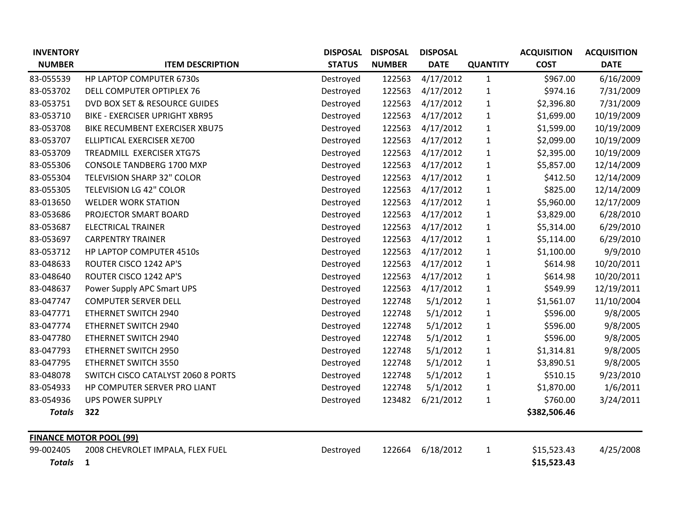| <b>INVENTORY</b> |                                       |               | DISPOSAL DISPOSAL | <b>DISPOSAL</b> |                 | <b>ACQUISITION</b> | <b>ACQUISITION</b> |  |  |
|------------------|---------------------------------------|---------------|-------------------|-----------------|-----------------|--------------------|--------------------|--|--|
| <b>NUMBER</b>    | <b>ITEM DESCRIPTION</b>               | <b>STATUS</b> | <b>NUMBER</b>     | <b>DATE</b>     | <b>QUANTITY</b> | <b>COST</b>        | <b>DATE</b>        |  |  |
| 83-055539        | HP LAPTOP COMPUTER 6730s              | Destroyed     | 122563            | 4/17/2012       | $\mathbf{1}$    | \$967.00           | 6/16/2009          |  |  |
| 83-053702        | DELL COMPUTER OPTIPLEX 76             | Destroyed     | 122563            | 4/17/2012       | $\mathbf{1}$    | \$974.16           | 7/31/2009          |  |  |
| 83-053751        | DVD BOX SET & RESOURCE GUIDES         | Destroyed     | 122563            | 4/17/2012       | $\mathbf{1}$    | \$2,396.80         | 7/31/2009          |  |  |
| 83-053710        | <b>BIKE - EXERCISER UPRIGHT XBR95</b> | Destroyed     | 122563            | 4/17/2012       | $\mathbf{1}$    | \$1,699.00         | 10/19/2009         |  |  |
| 83-053708        | BIKE RECUMBENT EXERCISER XBU75        | Destroyed     | 122563            | 4/17/2012       | $\mathbf{1}$    | \$1,599.00         | 10/19/2009         |  |  |
| 83-053707        | ELLIPTICAL EXERCISER XE700            | Destroyed     | 122563            | 4/17/2012       | $\mathbf{1}$    | \$2,099.00         | 10/19/2009         |  |  |
| 83-053709        | TREADMILL EXERCISER XTG7S             | Destroyed     | 122563            | 4/17/2012       | $\mathbf{1}$    | \$2,395.00         | 10/19/2009         |  |  |
| 83-055306        | <b>CONSOLE TANDBERG 1700 MXP</b>      | Destroyed     | 122563            | 4/17/2012       | $\mathbf{1}$    | \$5,857.00         | 12/14/2009         |  |  |
| 83-055304        | TELEVISION SHARP 32" COLOR            | Destroyed     | 122563            | 4/17/2012       | $\mathbf{1}$    | \$412.50           | 12/14/2009         |  |  |
| 83-055305        | <b>TELEVISION LG 42" COLOR</b>        | Destroyed     | 122563            | 4/17/2012       | $\mathbf{1}$    | \$825.00           | 12/14/2009         |  |  |
| 83-013650        | <b>WELDER WORK STATION</b>            | Destroyed     | 122563            | 4/17/2012       | $\mathbf{1}$    | \$5,960.00         | 12/17/2009         |  |  |
| 83-053686        | PROJECTOR SMART BOARD                 | Destroyed     | 122563            | 4/17/2012       | $\mathbf{1}$    | \$3,829.00         | 6/28/2010          |  |  |
| 83-053687        | <b>ELECTRICAL TRAINER</b>             | Destroyed     | 122563            | 4/17/2012       | $\mathbf{1}$    | \$5,314.00         | 6/29/2010          |  |  |
| 83-053697        | <b>CARPENTRY TRAINER</b>              | Destroyed     | 122563            | 4/17/2012       | $\mathbf{1}$    | \$5,114.00         | 6/29/2010          |  |  |
| 83-053712        | HP LAPTOP COMPUTER 4510s              | Destroyed     | 122563            | 4/17/2012       | $\mathbf{1}$    | \$1,100.00         | 9/9/2010           |  |  |
| 83-048633        | ROUTER CISCO 1242 AP'S                | Destroyed     | 122563            | 4/17/2012       | $\mathbf{1}$    | \$614.98           | 10/20/2011         |  |  |
| 83-048640        | ROUTER CISCO 1242 AP'S                | Destroyed     | 122563            | 4/17/2012       | $\mathbf{1}$    | \$614.98           | 10/20/2011         |  |  |
| 83-048637        | Power Supply APC Smart UPS            | Destroyed     | 122563            | 4/17/2012       | $\mathbf{1}$    | \$549.99           | 12/19/2011         |  |  |
| 83-047747        | <b>COMPUTER SERVER DELL</b>           | Destroyed     | 122748            | 5/1/2012        | $\mathbf{1}$    | \$1,561.07         | 11/10/2004         |  |  |
| 83-047771        | ETHERNET SWITCH 2940                  | Destroyed     | 122748            | 5/1/2012        | $\mathbf{1}$    | \$596.00           | 9/8/2005           |  |  |
| 83-047774        | ETHERNET SWITCH 2940                  | Destroyed     | 122748            | 5/1/2012        | $\mathbf{1}$    | \$596.00           | 9/8/2005           |  |  |
| 83-047780        | ETHERNET SWITCH 2940                  | Destroyed     | 122748            | 5/1/2012        | $\mathbf{1}$    | \$596.00           | 9/8/2005           |  |  |
| 83-047793        | ETHERNET SWITCH 2950                  | Destroyed     | 122748            | 5/1/2012        | $\mathbf{1}$    | \$1,314.81         | 9/8/2005           |  |  |
| 83-047795        | ETHERNET SWITCH 3550                  | Destroyed     | 122748            | 5/1/2012        | $\mathbf{1}$    | \$3,890.51         | 9/8/2005           |  |  |
| 83-048078        | SWITCH CISCO CATALYST 2060 8 PORTS    | Destroyed     | 122748            | 5/1/2012        | $\mathbf{1}$    | \$510.15           | 9/23/2010          |  |  |
| 83-054933        | HP COMPUTER SERVER PRO LIANT          | Destroyed     | 122748            | 5/1/2012        | $\mathbf{1}$    | \$1,870.00         | 1/6/2011           |  |  |
| 83-054936        | <b>UPS POWER SUPPLY</b>               | Destroyed     | 123482            | 6/21/2012       | $\mathbf{1}$    | \$760.00           | 3/24/2011          |  |  |
| <b>Totals</b>    | 322                                   |               |                   |                 |                 | \$382,506.46       |                    |  |  |
|                  | <b>FINANCE MOTOR POOL (99)</b>        |               |                   |                 |                 |                    |                    |  |  |
| 99-002405        | 2008 CHEVROLET IMPALA, FLEX FUEL      | Destroyed     | 122664            | 6/18/2012       | $\mathbf{1}$    | \$15,523.43        | 4/25/2008          |  |  |
| <b>Totals</b>    | $\mathbf{1}$                          |               |                   |                 |                 | \$15,523.43        |                    |  |  |